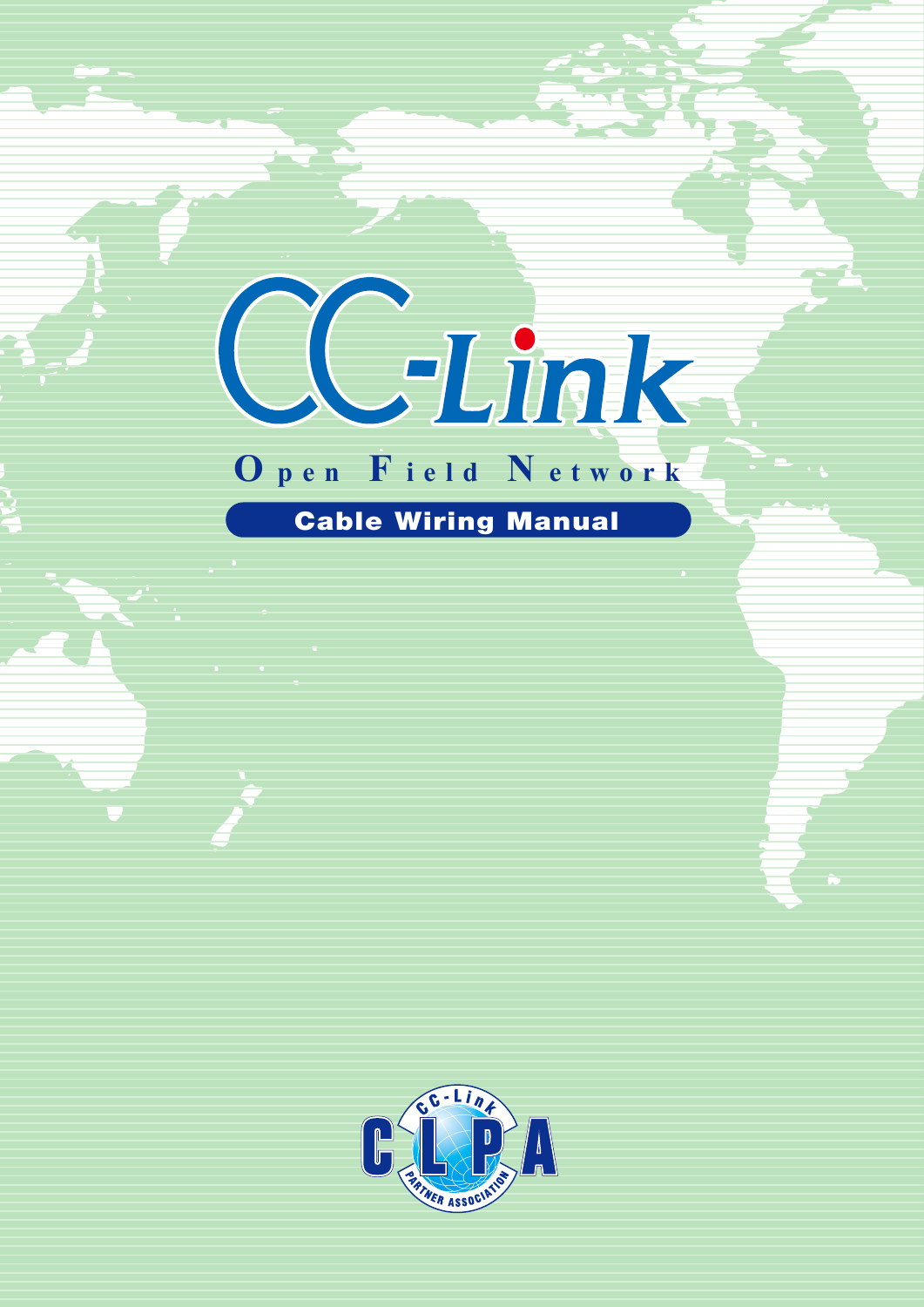# CGLink

## **O pen F ield N etwork**

Cable Wiring Manual

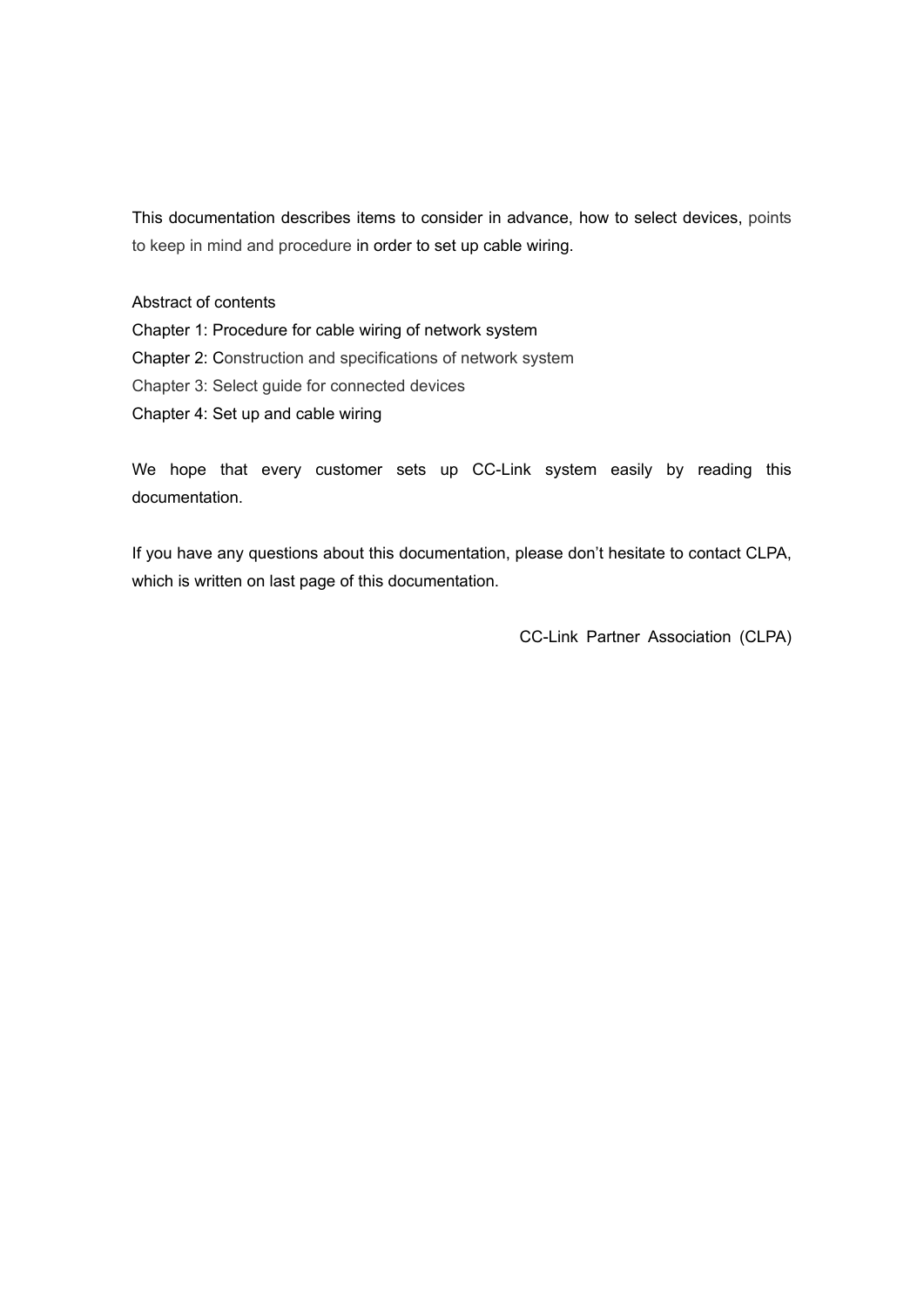This documentation describes items to consider in advance, how to select devices, points to keep in mind and procedure in order to set up cable wiring.

Abstract of contents

Chapter 1: Procedure for cable wiring of network system

Chapter 2: Construction and specifications of network system

Chapter 3: Select guide for connected devices

Chapter 4: Set up and cable wiring

We hope that every customer sets up CC-Link system easily by reading this documentation.

If you have any questions about this documentation, please don't hesitate to contact CLPA, which is written on last page of this documentation.

CC-Link Partner Association (CLPA)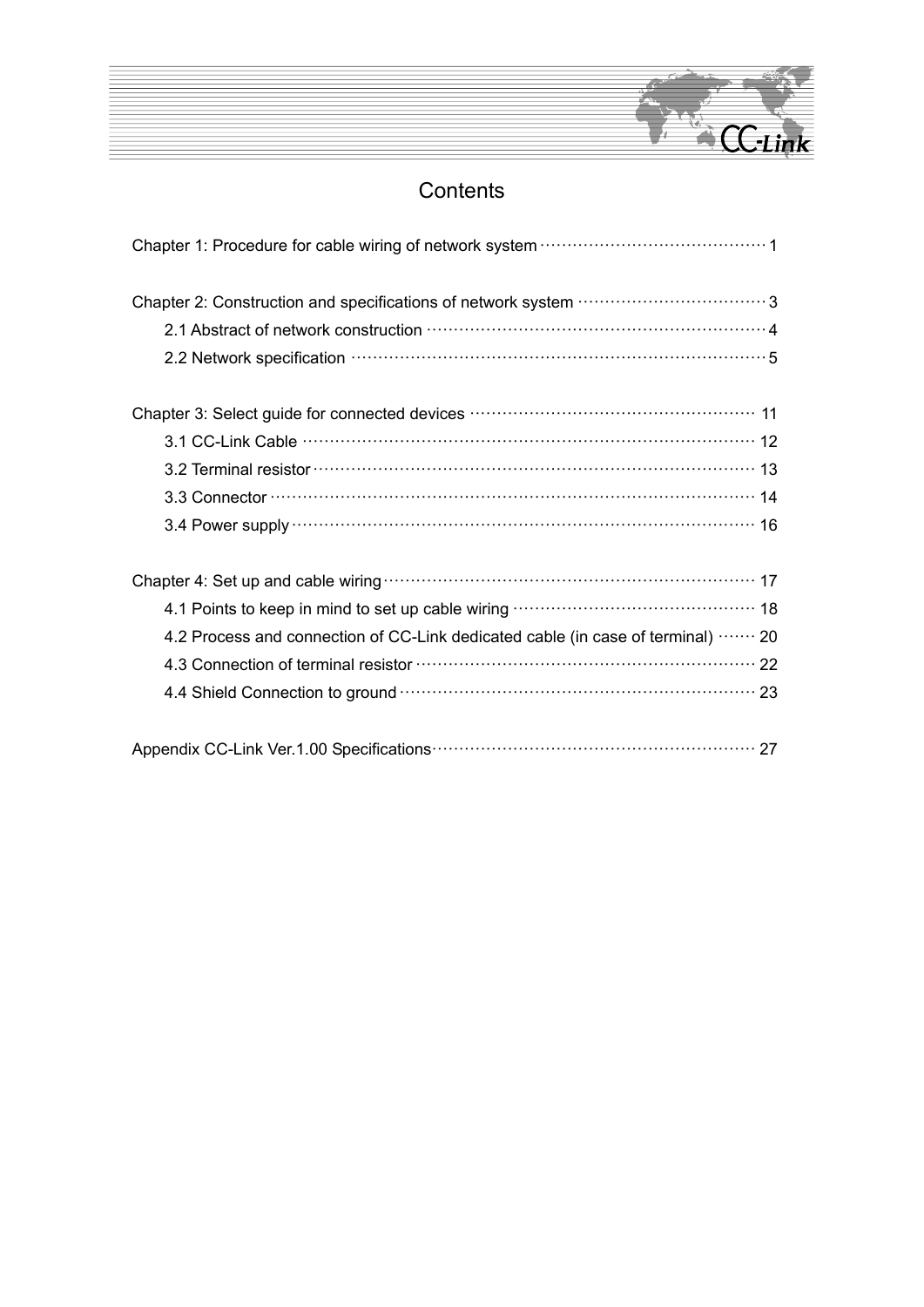

### **Contents**

| 2.2 Network specification manufactured contains and state specification manufactured state specification |
|----------------------------------------------------------------------------------------------------------|
|                                                                                                          |
|                                                                                                          |
|                                                                                                          |
|                                                                                                          |
|                                                                                                          |
|                                                                                                          |
|                                                                                                          |
| 4.2 Process and connection of CC-Link dedicated cable (in case of terminal)  20                          |
|                                                                                                          |
|                                                                                                          |
|                                                                                                          |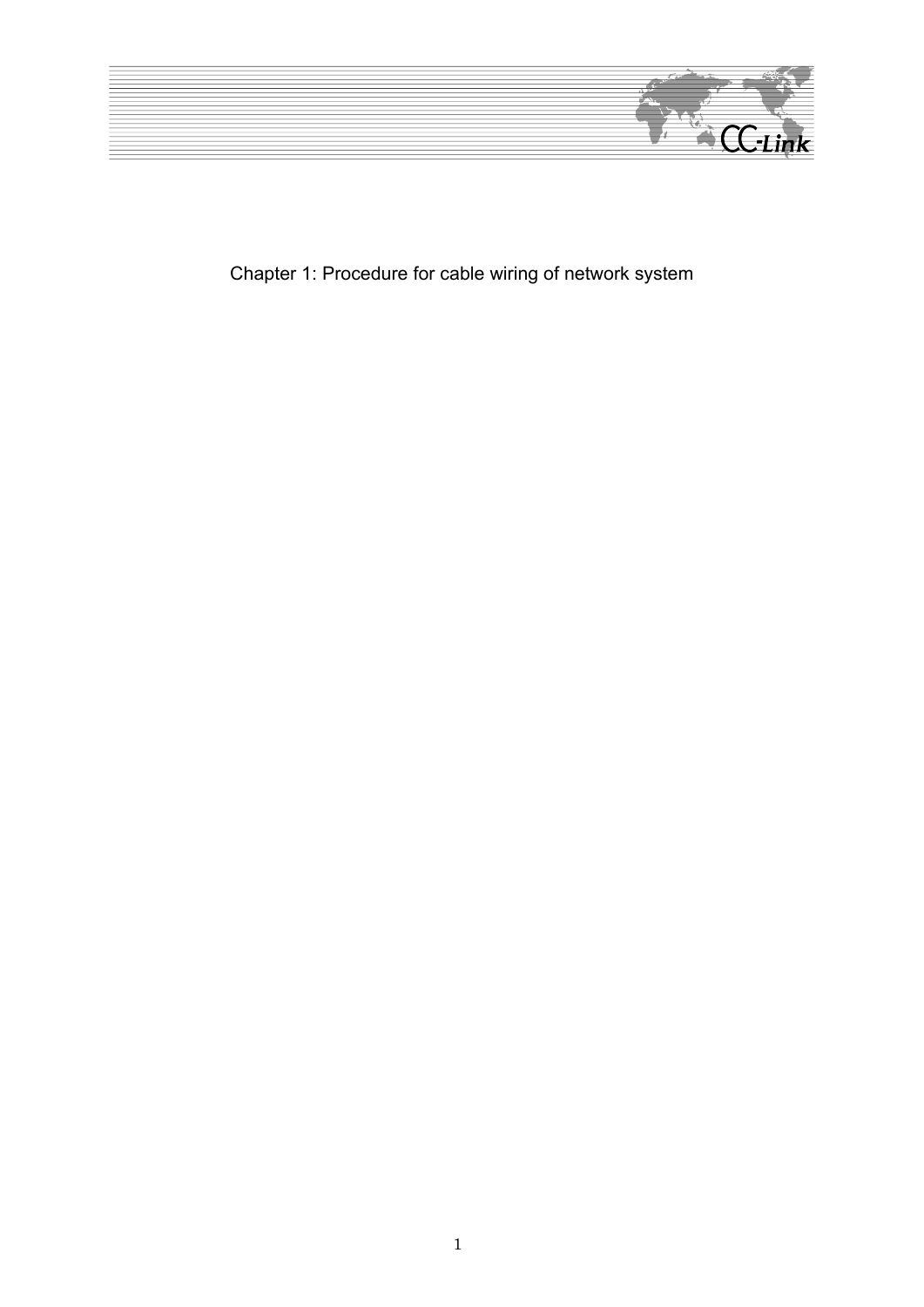

Chapter 1: Procedure for cable wiring of network system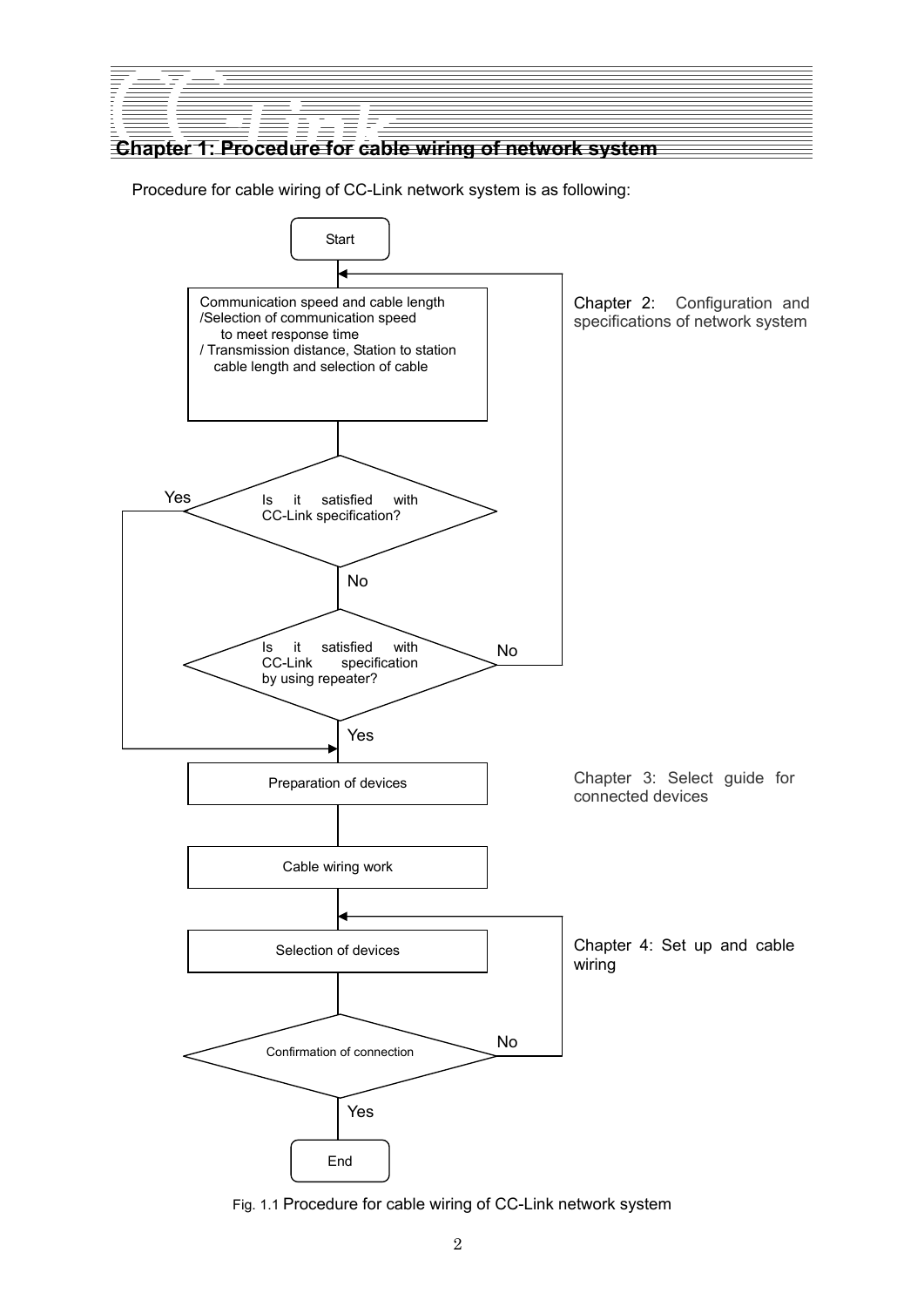

Fig. 1.1 Procedure for cable wiring of CC-Link network system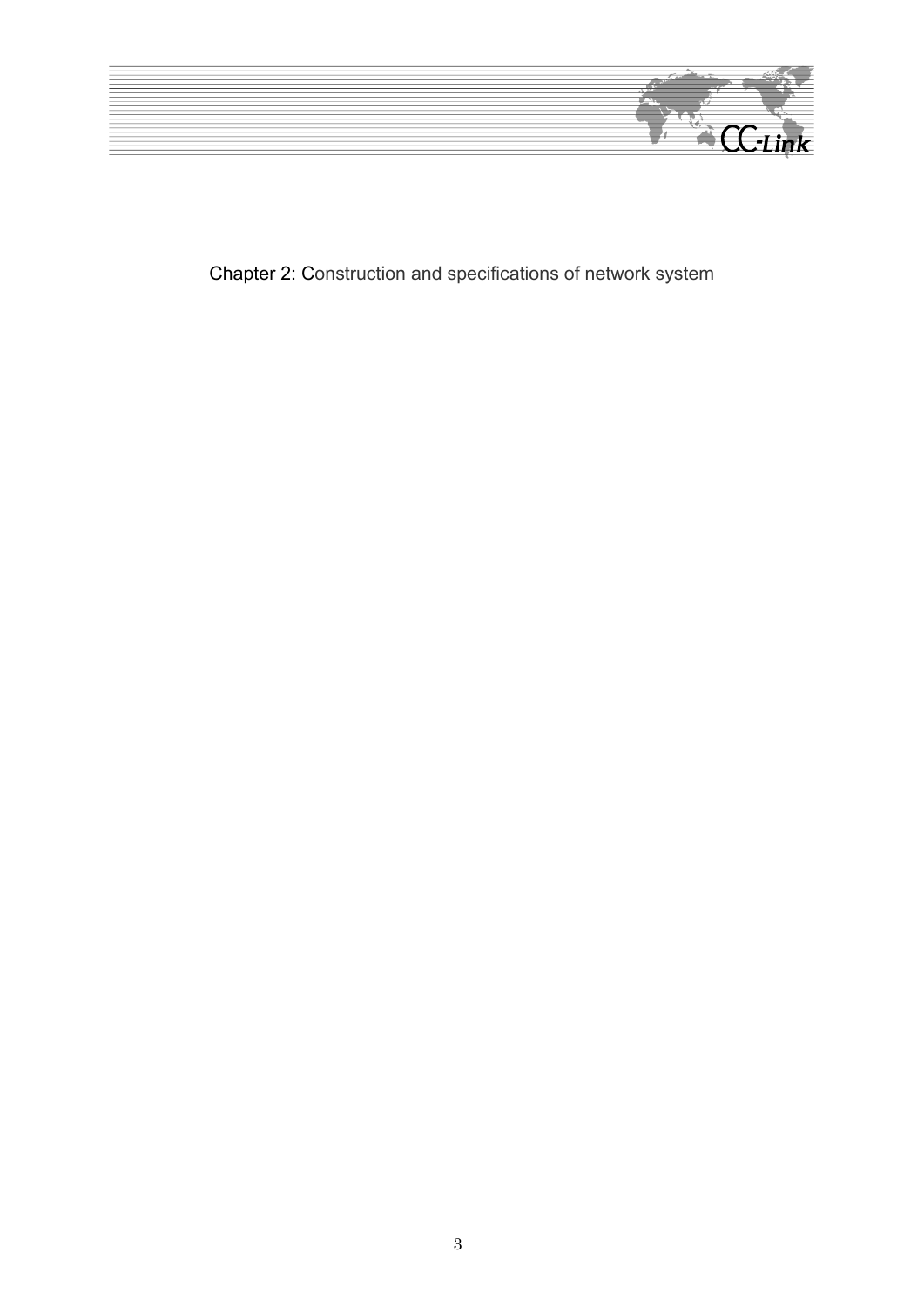

Chapter 2: Construction and specifications of network system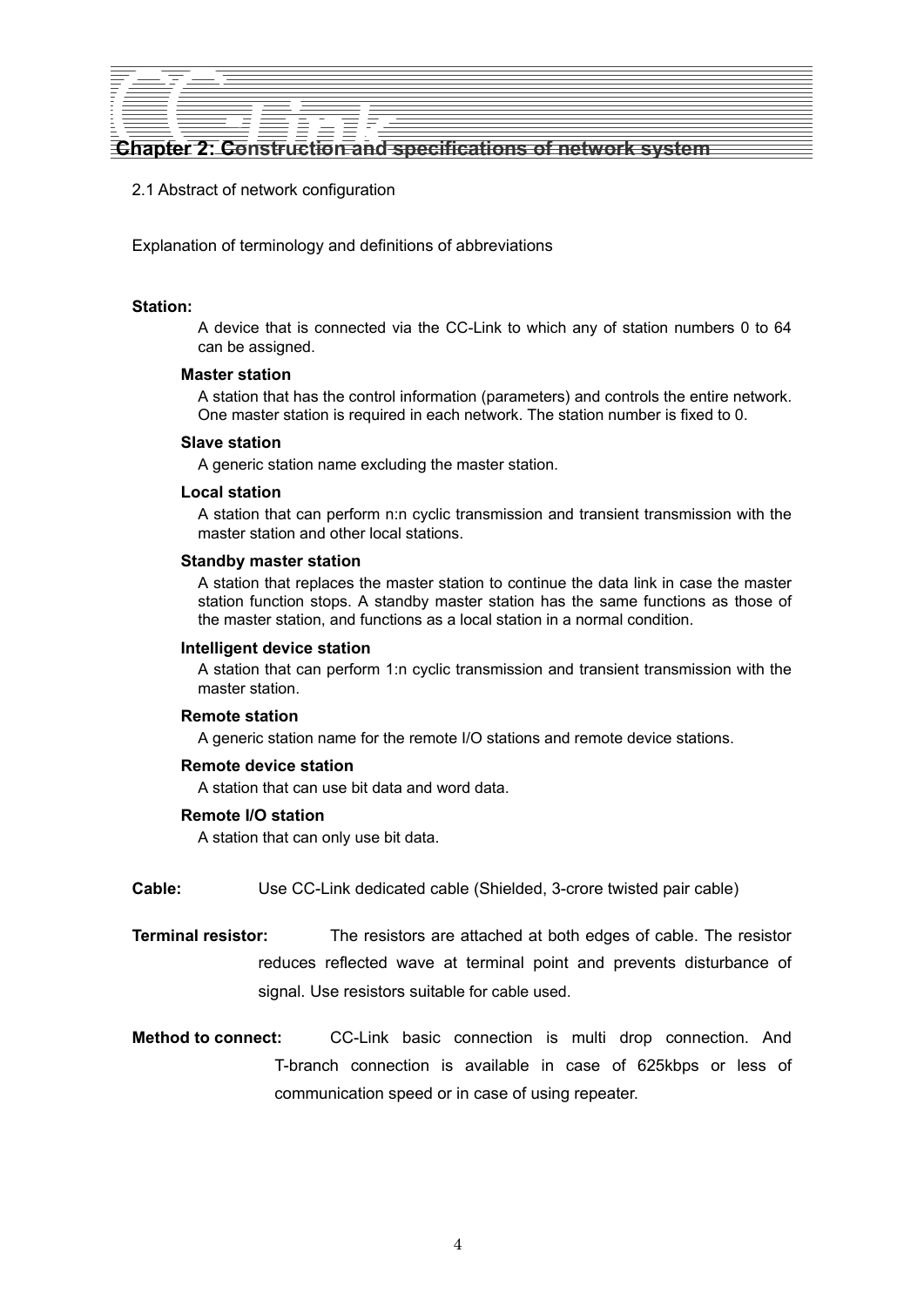

2.1 Abstract of network configuration

Explanation of terminology and definitions of abbreviations

#### **Station:**

A device that is connected via the CC-Link to which any of station numbers 0 to 64 can be assigned.

#### **Master station**

A station that has the control information (parameters) and controls the entire network. One master station is required in each network. The station number is fixed to 0.

#### **Slave station**

A generic station name excluding the master station.

#### **Local station**

A station that can perform n:n cyclic transmission and transient transmission with the master station and other local stations.

#### **Standby master station**

A station that replaces the master station to continue the data link in case the master station function stops. A standby master station has the same functions as those of the master station, and functions as a local station in a normal condition.

#### **Intelligent device station**

A station that can perform 1:n cyclic transmission and transient transmission with the master station.

#### **Remote station**

A generic station name for the remote I/O stations and remote device stations.

#### **Remote device station**

A station that can use bit data and word data.

#### **Remote I/O station**

A station that can only use bit data.

- **Cable:** Use CC-Link dedicated cable (Shielded, 3-crore twisted pair cable)
- **Terminal resistor:** The resistors are attached at both edges of cable. The resistor reduces reflected wave at terminal point and prevents disturbance of signal. Use resistors suitable for cable used.
- **Method to connect:** CC-Link basic connection is multi drop connection. And T-branch connection is available in case of 625kbps or less of communication speed or in case of using repeater.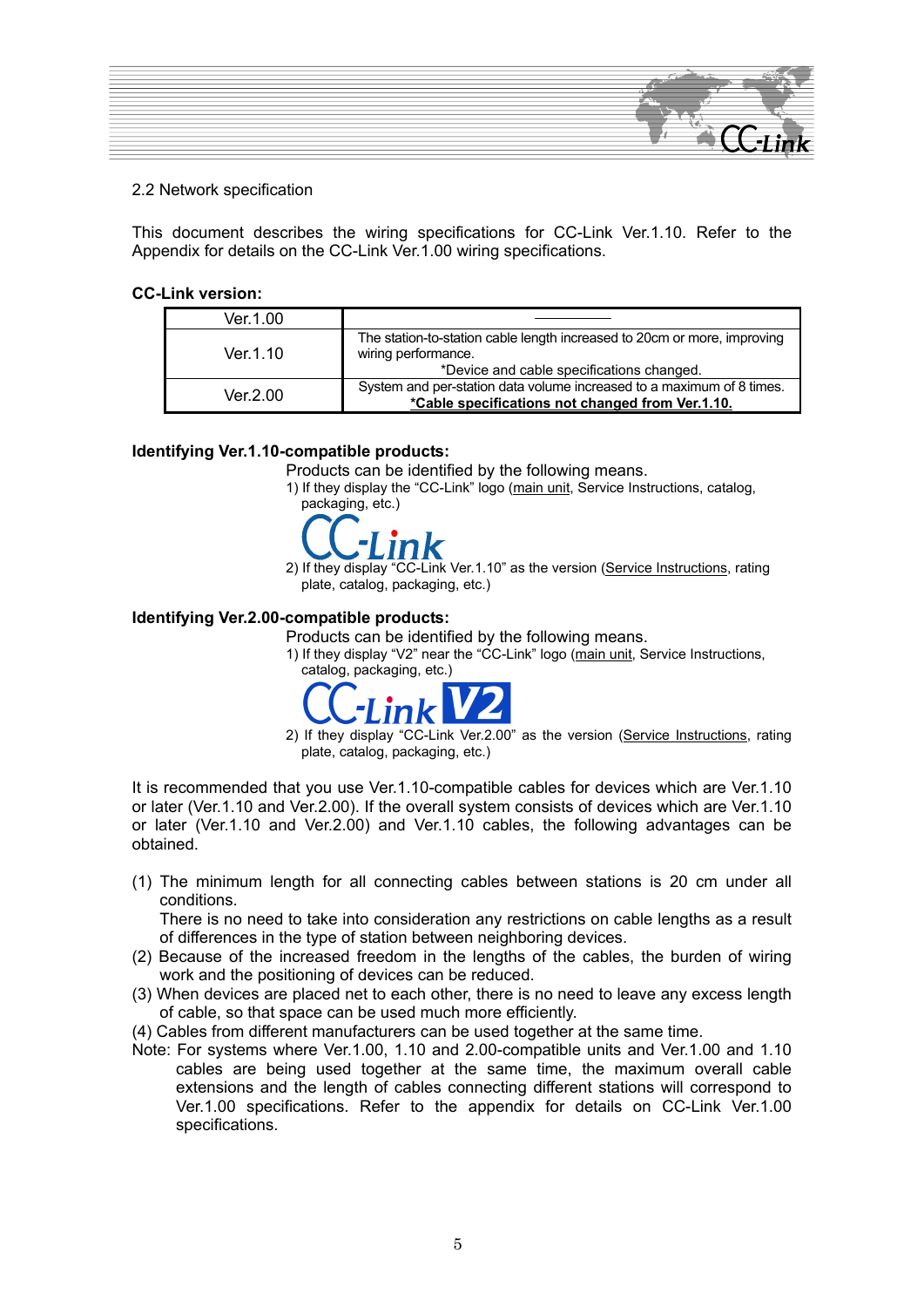

#### 2.2 Network specification

This document describes the wiring specifications for CC-Link Ver.1.10. Refer to the Appendix for details on the CC-Link Ver.1.00 wiring specifications.

#### **CC-Link version:**

| Ver.1.00  |                                                                                                                                              |
|-----------|----------------------------------------------------------------------------------------------------------------------------------------------|
| Ver. 1.10 | The station-to-station cable length increased to 20cm or more, improving<br>wiring performance.<br>*Device and cable specifications changed. |
| Ver. 2.00 | System and per-station data volume increased to a maximum of 8 times.<br>*Cable specifications not changed from Ver.1.10.                    |

#### **Identifying Ver.1.10-compatible products:**

- Products can be identified by the following means.
- 1) If they display the "CC-Link" logo (main unit, Service Instructions, catalog, packaging, etc.)



2) If they display "CC-Link Ver.1.10" as the version (Service Instructions, rating plate, catalog, packaging, etc.)

#### **Identifying Ver.2.00-compatible products:**

- Products can be identified by the following means.
- 1) If they display "V2" near the "CC-Link" logo (main unit, Service Instructions, catalog, packaging, etc.)



2) If they display "CC-Link Ver.2.00" as the version (Service Instructions, rating plate, catalog, packaging, etc.)

It is recommended that you use Ver.1.10-compatible cables for devices which are Ver.1.10 or later (Ver.1.10 and Ver.2.00). If the overall system consists of devices which are Ver.1.10 or later (Ver.1.10 and Ver.2.00) and Ver.1.10 cables, the following advantages can be obtained.

(1) The minimum length for all connecting cables between stations is 20 cm under all conditions.

There is no need to take into consideration any restrictions on cable lengths as a result of differences in the type of station between neighboring devices.

- (2) Because of the increased freedom in the lengths of the cables, the burden of wiring work and the positioning of devices can be reduced.
- (3) When devices are placed net to each other, there is no need to leave any excess length of cable, so that space can be used much more efficiently.

(4) Cables from different manufacturers can be used together at the same time.

Note: For systems where Ver.1.00, 1.10 and 2.00-compatible units and Ver.1.00 and 1.10 cables are being used together at the same time, the maximum overall cable extensions and the length of cables connecting different stations will correspond to Ver.1.00 specifications. Refer to the appendix for details on CC-Link Ver.1.00 specifications.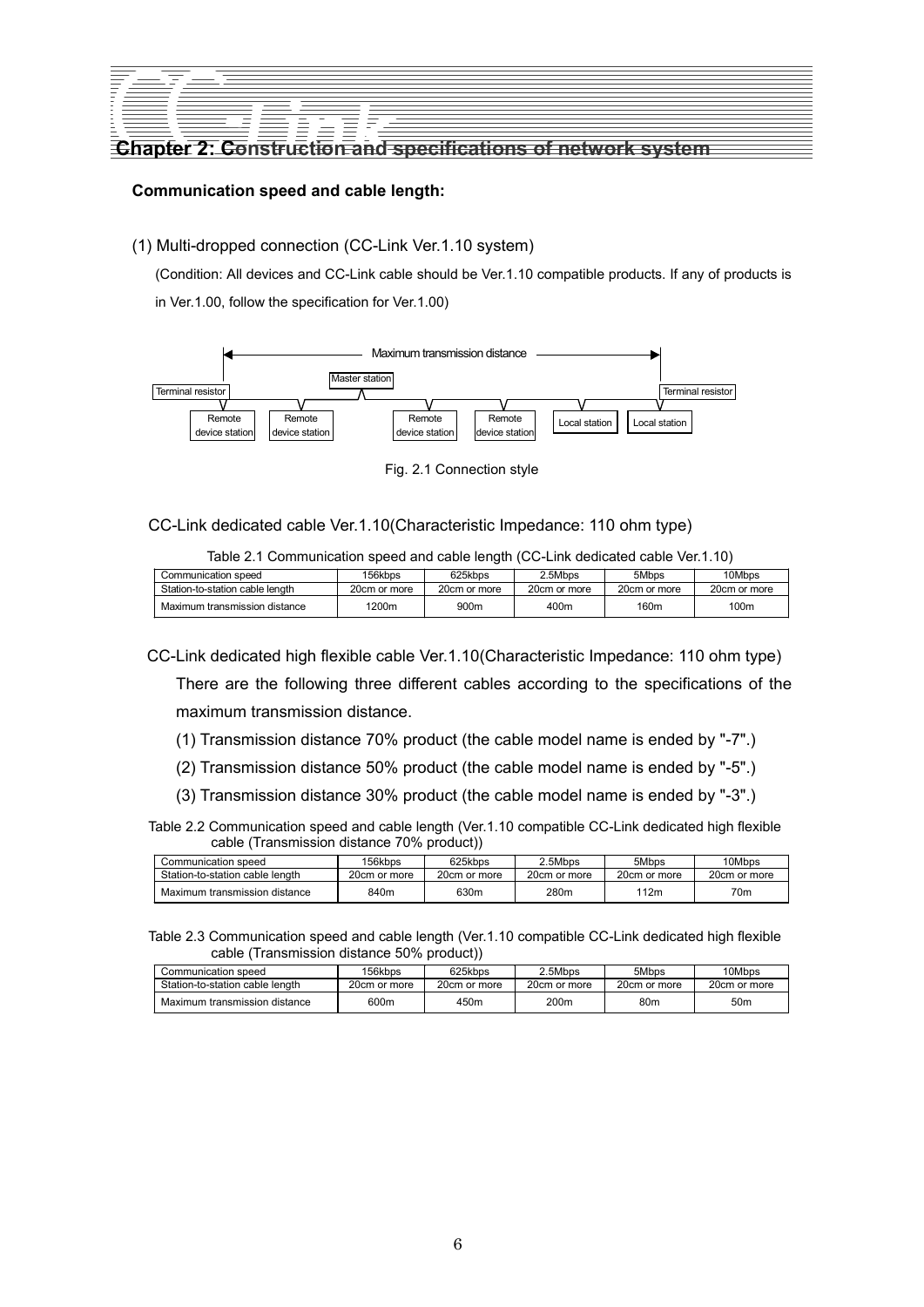

#### **Communication speed and cable length:**

#### (1) Multi-dropped connection (CC-Link Ver.1.10 system)

(Condition: All devices and CC-Link cable should be Ver.1.10 compatible products. If any of products is in Ver.1.00, follow the specification for Ver.1.00)



Fig. 2.1 Connection style

CC-Link dedicated cable Ver.1.10(Characteristic Impedance: 110 ohm type)

| Table 2.1 Communication speed and cable length (CC-Link dedicated cable Ver.1.10)                               |  |  |  |  |  |  |  |  |  |
|-----------------------------------------------------------------------------------------------------------------|--|--|--|--|--|--|--|--|--|
| Communication speed<br>156kbps<br>10Mbps<br>625kbps<br>2.5Mbps<br>5Mbps                                         |  |  |  |  |  |  |  |  |  |
| Station-to-station cable length<br>20cm or more<br>20cm or more<br>20cm or more<br>20cm or more<br>20cm or more |  |  |  |  |  |  |  |  |  |
| Maximum transmission distance<br>1200m<br>900 <sub>m</sub><br>160 <sub>m</sub><br>100 <sub>m</sub><br>400m      |  |  |  |  |  |  |  |  |  |

CC-Link dedicated high flexible cable Ver.1.10(Characteristic Impedance: 110 ohm type) There are the following three different cables according to the specifications of the maximum transmission distance.

(1) Transmission distance 70% product (the cable model name is ended by "-7".)

- (2) Transmission distance 50% product (the cable model name is ended by "-5".)
- (3) Transmission distance 30% product (the cable model name is ended by "-3".)

Table 2.2 Communication speed and cable length (Ver.1.10 compatible CC-Link dedicated high flexible cable (Transmission distance 70% product))

| Communication speed             | 156kbps      | 625kbps      | 2.5Mbps      | 5Mbps        | 10Mbps       |
|---------------------------------|--------------|--------------|--------------|--------------|--------------|
| Station-to-station cable length | 20cm or more | 20cm or more | 20cm or more | 20cm or more | 20cm or more |
| Maximum transmission distance   | 840m         | 630m         | 280m         | 112m         | 70m          |

Table 2.3 Communication speed and cable length (Ver.1.10 compatible CC-Link dedicated high flexible cable (Transmission distance 50% product))

| Communication speed             | 156kbps      | 625kbps          | 2.5Mbps      | 5Mbps        | 10Mbps       |
|---------------------------------|--------------|------------------|--------------|--------------|--------------|
| Station-to-station cable length | 20cm or more | 20cm or more     | 20cm or more | 20cm or more | 20cm or more |
| Maximum transmission distance   | 600m         | 450 <sub>m</sub> | 200m         | 80m          | 50m          |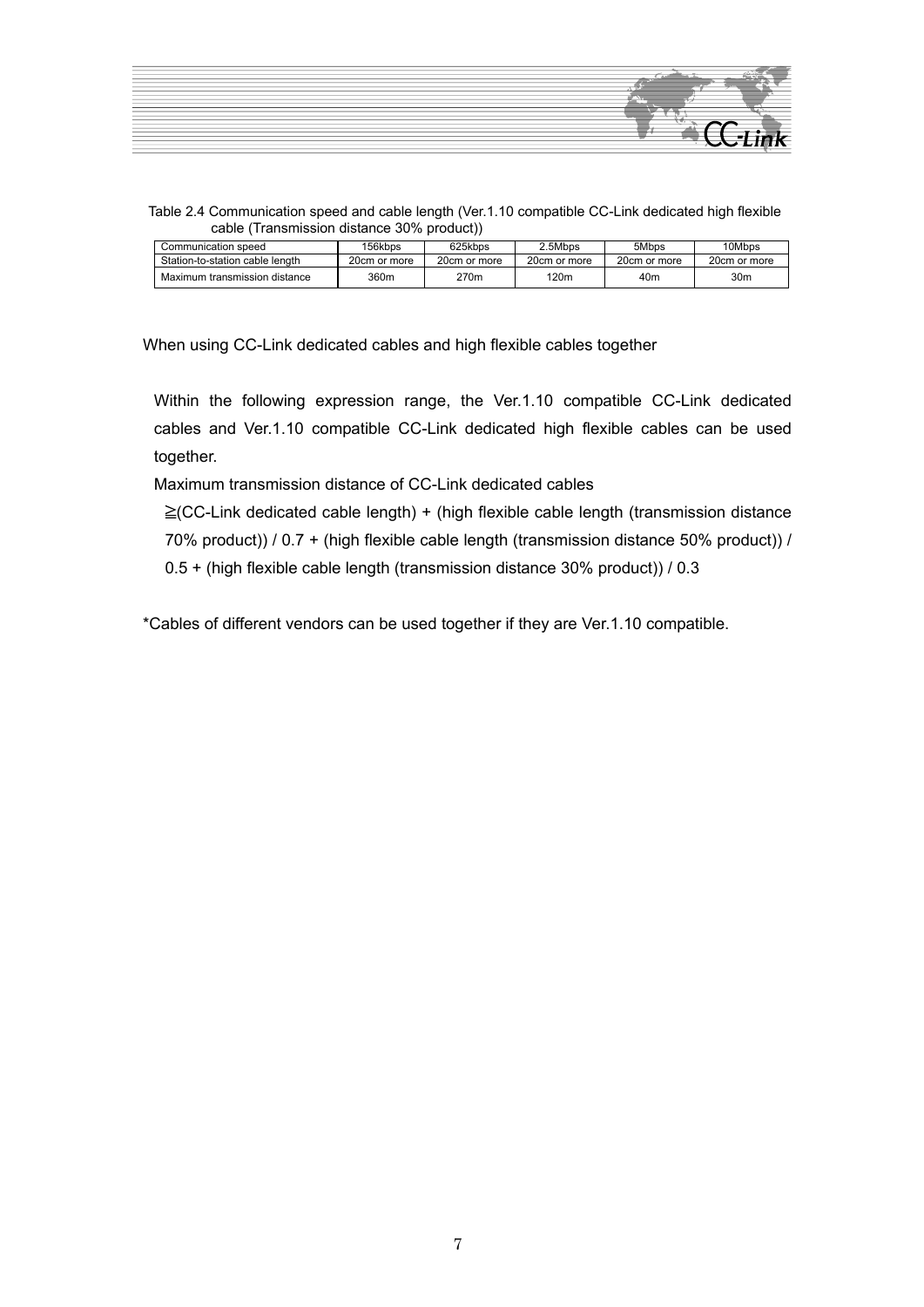

Table 2.4 Communication speed and cable length (Ver.1.10 compatible CC-Link dedicated high flexible cable (Transmission distance 30% product))

| Communication speed             | 156kbps      | 625kbps      | 2.5Mbps      | 5Mbps        | 10Mbps       |
|---------------------------------|--------------|--------------|--------------|--------------|--------------|
| Station-to-station cable length | 20cm or more | 20cm or more | 20cm or more | 20cm or more | 20cm or more |
| Maximum transmission distance   | 360m         | 270m         | 120m         | 40m          | 30m          |

When using CC-Link dedicated cables and high flexible cables together

Within the following expression range, the Ver.1.10 compatible CC-Link dedicated cables and Ver.1.10 compatible CC-Link dedicated high flexible cables can be used together.

Maximum transmission distance of CC-Link dedicated cables

 $\geq$ (CC-Link dedicated cable length) + (high flexible cable length (transmission distance 70% product)) / 0.7 + (high flexible cable length (transmission distance 50% product)) / 0.5 + (high flexible cable length (transmission distance 30% product)) / 0.3

\*Cables of different vendors can be used together if they are Ver.1.10 compatible.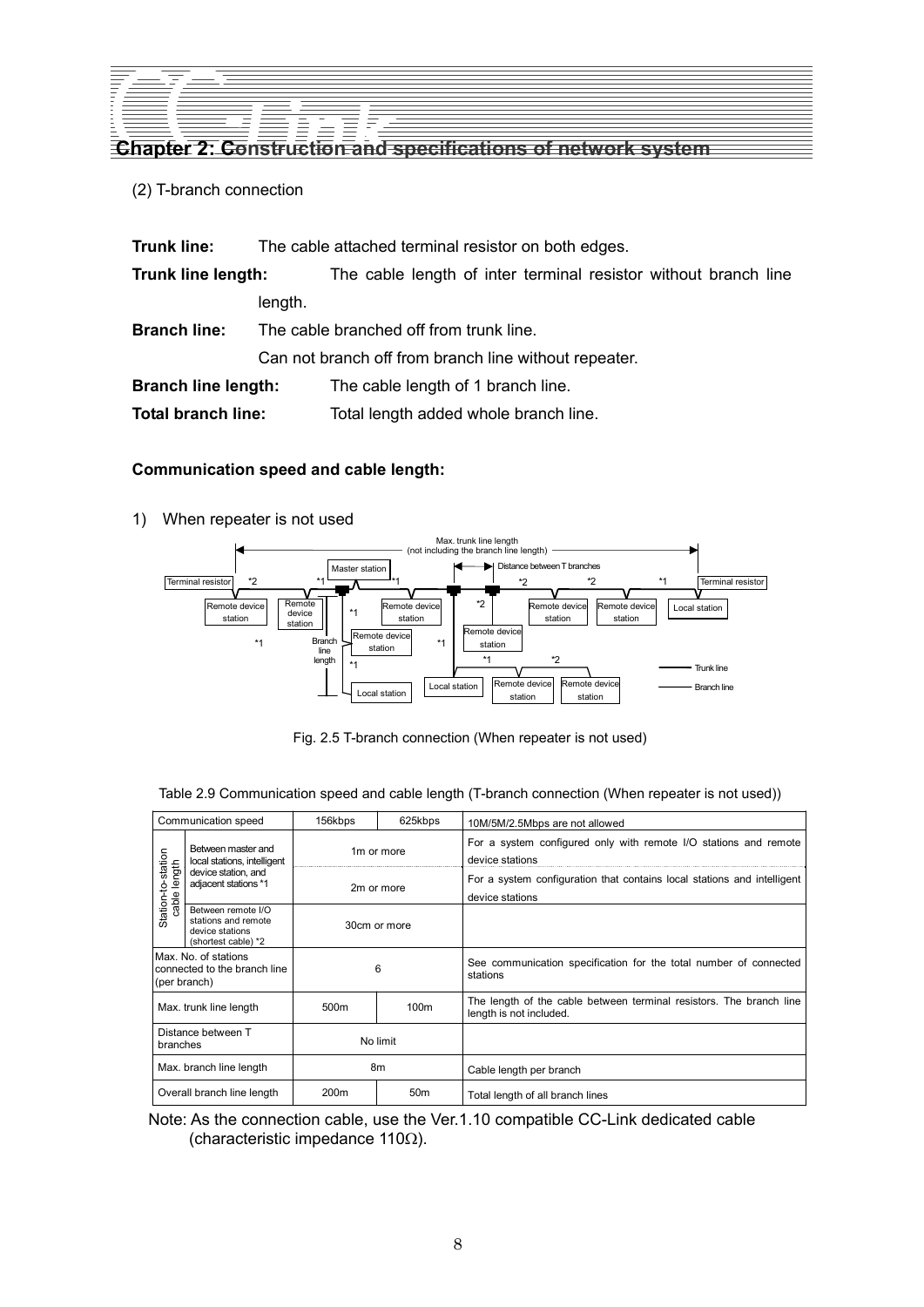

(2) T-branch connection

| Trunk line:                | The cable attached terminal resistor on both edges.             |  |  |  |  |  |  |  |  |
|----------------------------|-----------------------------------------------------------------|--|--|--|--|--|--|--|--|
| Trunk line length:         | The cable length of inter terminal resistor without branch line |  |  |  |  |  |  |  |  |
|                            | length.                                                         |  |  |  |  |  |  |  |  |
| <b>Branch line:</b>        | The cable branched off from trunk line.                         |  |  |  |  |  |  |  |  |
|                            | Can not branch off from branch line without repeater.           |  |  |  |  |  |  |  |  |
| <b>Branch line length:</b> | The cable length of 1 branch line.                              |  |  |  |  |  |  |  |  |
| <b>Total branch line:</b>  | Total length added whole branch line.                           |  |  |  |  |  |  |  |  |

#### **Communication speed and cable length:**

1) When repeater is not used



Fig. 2.5 T-branch connection (When repeater is not used)

| Table 2.9 Communication speed and cable length (T-branch connection (When repeater is not used)) |  |  |  |  |
|--------------------------------------------------------------------------------------------------|--|--|--|--|
|--------------------------------------------------------------------------------------------------|--|--|--|--|

| Communication speed                                                  |                                                                                     | 625kbps<br>156kbps                   |      | 10M/5M/2.5Mbps are not allowed                                                                 |  |  |  |
|----------------------------------------------------------------------|-------------------------------------------------------------------------------------|--------------------------------------|------|------------------------------------------------------------------------------------------------|--|--|--|
| Station-to-station<br>cable length                                   | Between master and<br>local stations, intelligent                                   | 1 <sub>m</sub> or more<br>2m or more |      | For a system configured only with remote I/O stations and remote<br>device stations            |  |  |  |
|                                                                      | device station, and<br>adjacent stations *1                                         |                                      |      | For a system configuration that contains local stations and intelligent<br>device stations     |  |  |  |
|                                                                      | Between remote I/O<br>stations and remote<br>device stations<br>(shortest cable) *2 | 30cm or more                         |      |                                                                                                |  |  |  |
| Max. No. of stations<br>connected to the branch line<br>(per branch) |                                                                                     | 6                                    |      | See communication specification for the total number of connected<br>stations                  |  |  |  |
| Max. trunk line length                                               |                                                                                     | 500m                                 | 100m | The length of the cable between terminal resistors. The branch line<br>length is not included. |  |  |  |
| Distance between T<br>branches                                       |                                                                                     | No limit                             |      |                                                                                                |  |  |  |
| Max. branch line length                                              |                                                                                     |                                      | 8m   | Cable length per branch                                                                        |  |  |  |
| Overall branch line length                                           |                                                                                     | 200 <sub>m</sub><br>50 <sub>m</sub>  |      | Total length of all branch lines                                                               |  |  |  |

Note: As the connection cable, use the Ver.1.10 compatible CC-Link dedicated cable (characteristic impedance 110 $\Omega$ ).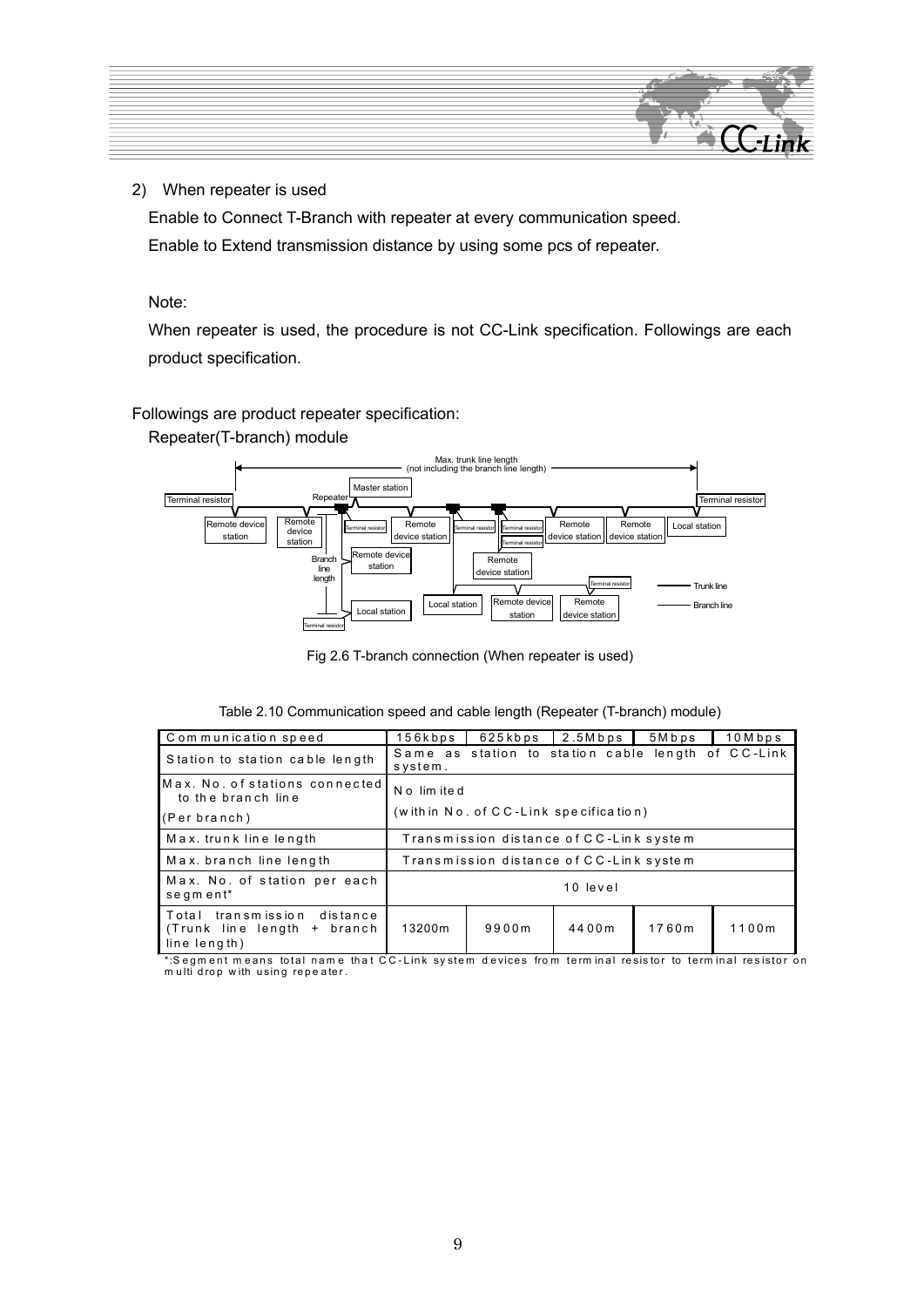

#### 2) When repeater is used

Enable to Connect T-Branch with repeater at every communication speed. Enable to Extend transmission distance by using some pcs of repeater.

Note:

When repeater is used, the procedure is not CC-Link specification. Followings are each product specification.

Followings are product repeater specification:

Repeater(T-branch) module



Fig 2.6 T-branch connection (When repeater is used)

| Communication speed                                                              | 156kbps                                                       | 625kbps                                 | 2.5Mbps | 5Mbps | 10Mbps |  |  |
|----------------------------------------------------------------------------------|---------------------------------------------------------------|-----------------------------------------|---------|-------|--------|--|--|
| Station to station cable length                                                  | Same as station to station cable length of CC-Link<br>system. |                                         |         |       |        |  |  |
| Max. No. of stations connected<br>to the branch line                             | No lim ited                                                   |                                         |         |       |        |  |  |
| (Per brand)                                                                      | (within No. of CC-Link specification)                         |                                         |         |       |        |  |  |
| Max. trunk line length                                                           | Transmission distance of CC-Link system                       |                                         |         |       |        |  |  |
| Max. branch line length                                                          |                                                               | Transmission distance of CC-Link system |         |       |        |  |  |
| Max. No. of station per each<br>segment*                                         | 10 level                                                      |                                         |         |       |        |  |  |
| transmission<br>Total<br>distance<br>(Trunk line length + branch<br>line length) | 13200m                                                        | 9900m                                   | 4400m   | 1760m | 1100m  |  |  |

\*:S e gm e n t m ea n s to tal na m e th a t C C - L ink sy ste m d e vice s fro m te rm in a l re sis tor to term in al re s isto r on m ulti drop with using repeater.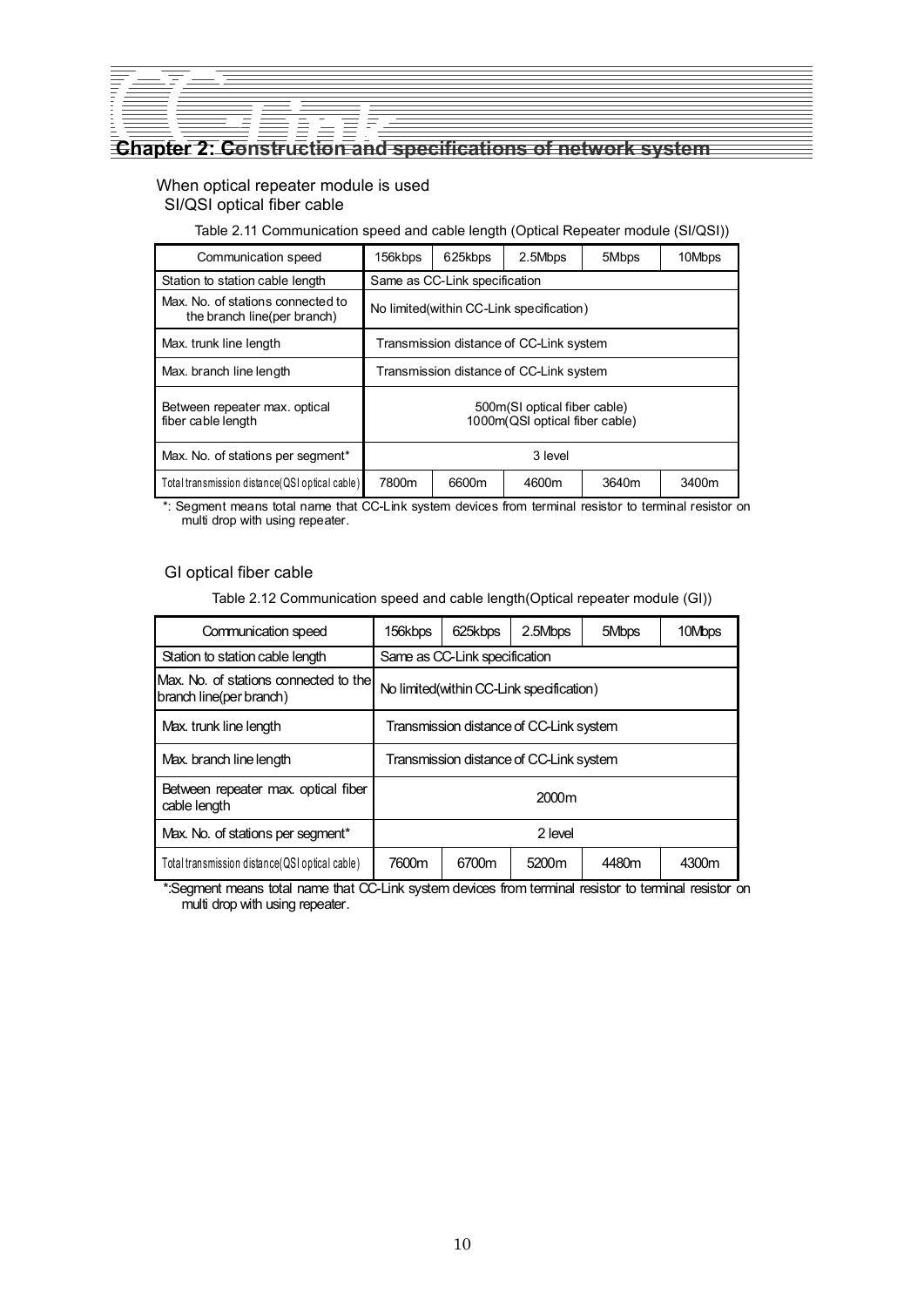

#### When optical repeater module is used SI/QSI optical fiber cable

#### Table 2.11 Communication speed and cable length (Optical Repeater module (SI/QSI))

| Communication speed                                               | 156kbps                                                        | 625kbps | 2.5Mbps | 5Mbps | 10Mbps |
|-------------------------------------------------------------------|----------------------------------------------------------------|---------|---------|-------|--------|
| Station to station cable length                                   | Same as CC-Link specification                                  |         |         |       |        |
| Max. No. of stations connected to<br>the branch line (per branch) | No limited (within CC-Link specification)                      |         |         |       |        |
| Max. trunk line length                                            | Transmission distance of CC-Link system                        |         |         |       |        |
| Max. branch line length                                           | Transmission distance of CC-Link system                        |         |         |       |        |
| Between repeater max. optical<br>fiber cable length               | 500m(SI optical fiber cable)<br>1000m(QSI optical fiber cable) |         |         |       |        |
| Max. No. of stations per segment*                                 | 3 level                                                        |         |         |       |        |
| Total transmission distance (QSI optical cable)                   | 7800m                                                          | 6600m   | 4600m   | 3640m | 3400m  |

\*: Segment means total name that CC-Link system devices from terminal resistor to terminal resistor on multi drop with using repeater.

#### GI optical fiber cable

Table 2.12 Communication speed and cable length(Optical repeater module (GI))

| Communication speed                                              | 156kbps                                  | 625kbps                       | 2.5Mbps           | 5Mbps | 10Mbps |
|------------------------------------------------------------------|------------------------------------------|-------------------------------|-------------------|-------|--------|
| Station to station cable length                                  |                                          | Same as CC-Link specification |                   |       |        |
| Max. No. of stations connected to the<br>branch line(per branch) | No limited(within CC-Link specification) |                               |                   |       |        |
| Max. trunk line length                                           | Transmission distance of CC-Link system  |                               |                   |       |        |
| Max. branch line length                                          | Transmission distance of CC-Link system  |                               |                   |       |        |
| Between repeater max. optical fiber<br>cable length              |                                          |                               | 2000m             |       |        |
| Max. No. of stations per segment*                                | 2 level                                  |                               |                   |       |        |
| Total transmission distance (QSI optical cable)                  | 7600m                                    | 6700m                         | 5200 <sub>m</sub> | 4480m | 4300m  |

\*:Segment means total name that CC-Link system devices from terminal resistor to terminal resistor on multi drop with using repeater.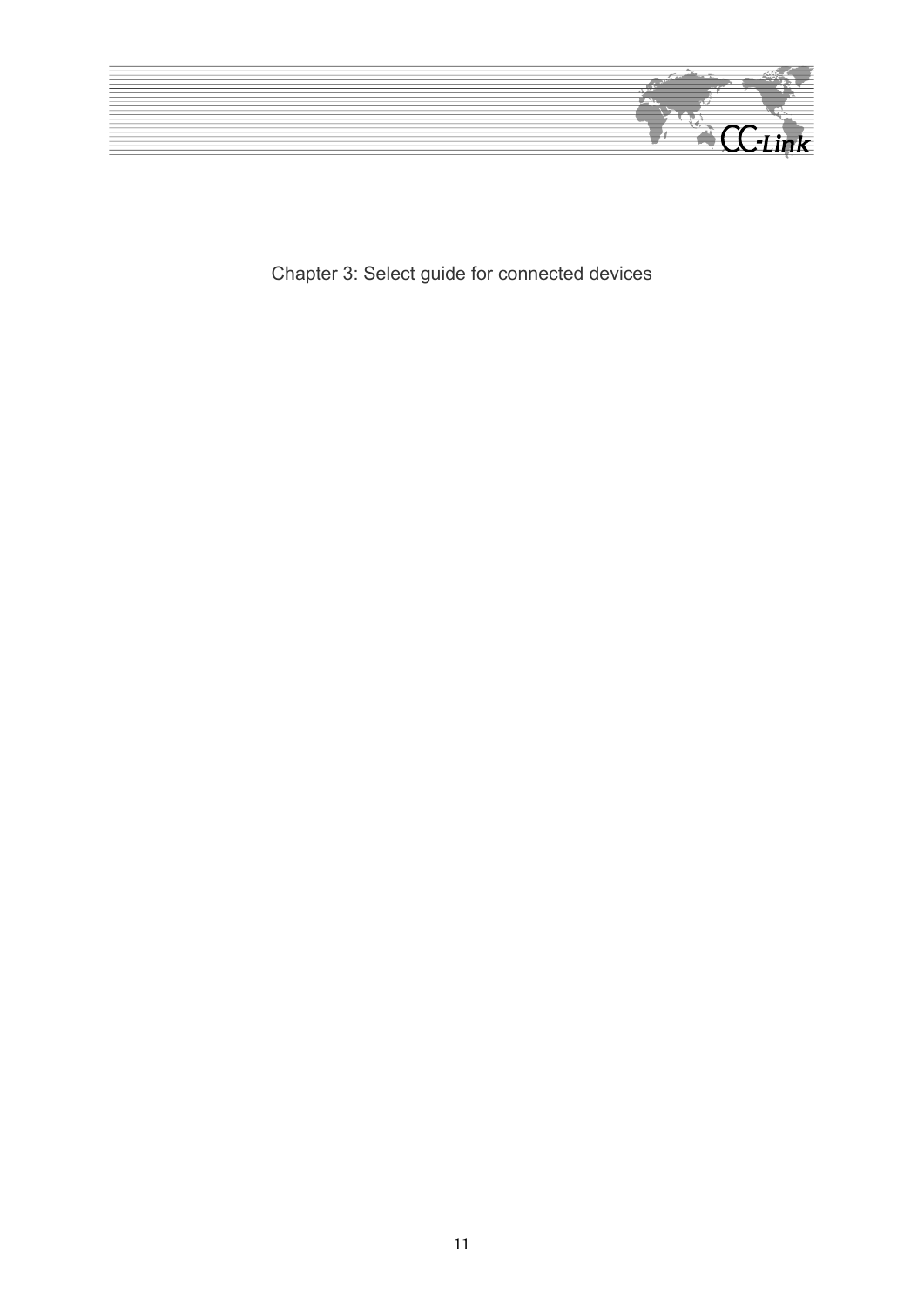

Chapter 3: Select guide for connected devices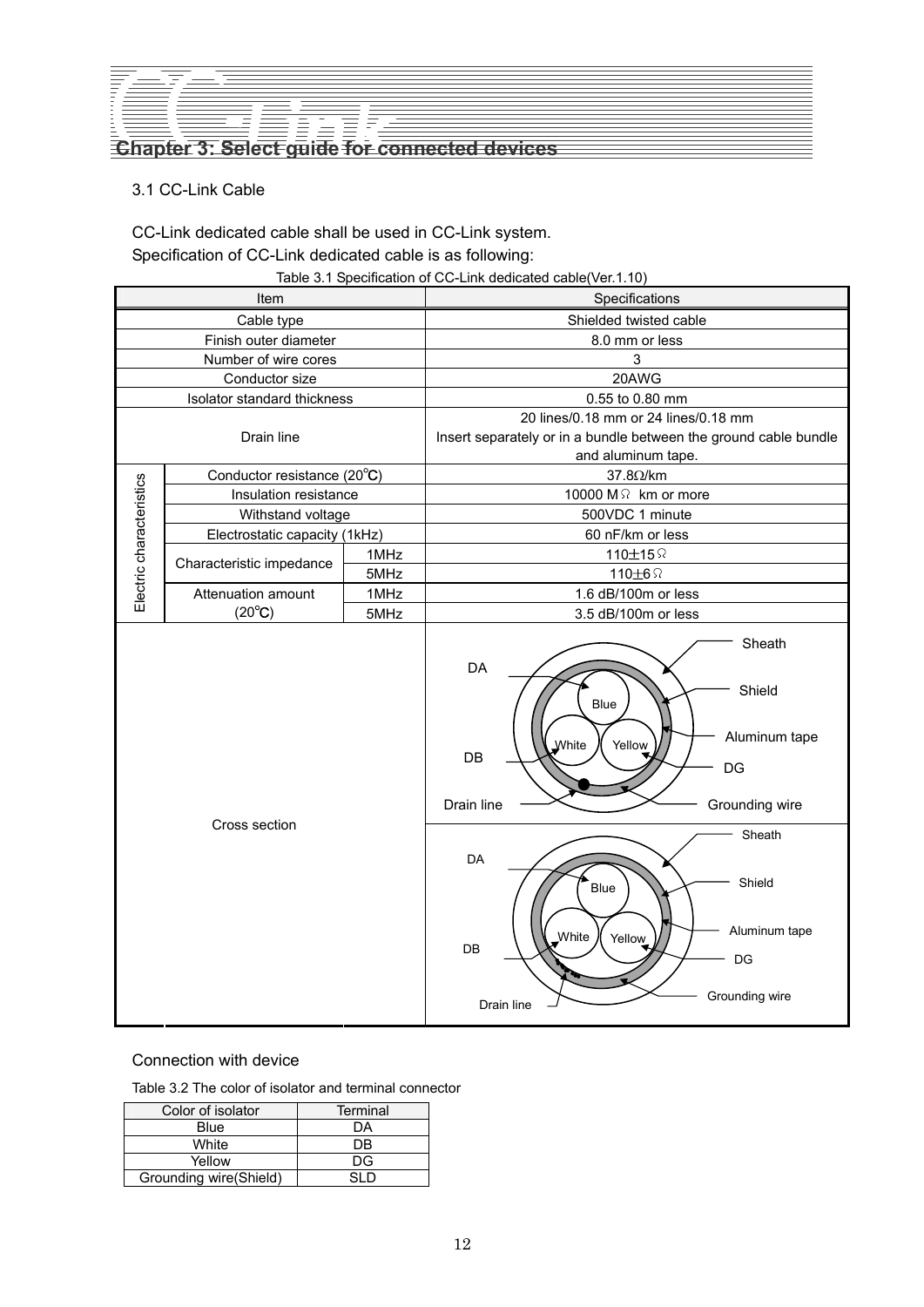

3.1 CC-Link Cable

CC-Link dedicated cable shall be used in CC-Link system.

Specification of CC-Link dedicated cable is as following:

Table 3.1 Specification of CC-Link dedicated cable(Ver.1.10)

| Item                     |                               |      | Specifications                                                                                                        |  |  |
|--------------------------|-------------------------------|------|-----------------------------------------------------------------------------------------------------------------------|--|--|
|                          | Cable type                    |      | Shielded twisted cable                                                                                                |  |  |
| Finish outer diameter    |                               |      | 8.0 mm or less                                                                                                        |  |  |
| Number of wire cores     |                               |      | 3                                                                                                                     |  |  |
|                          | Conductor size                |      | 20AWG                                                                                                                 |  |  |
|                          | Isolator standard thickness   |      | 0.55 to 0.80 mm                                                                                                       |  |  |
|                          |                               |      | 20 lines/0.18 mm or 24 lines/0.18 mm                                                                                  |  |  |
|                          | Drain line                    |      | Insert separately or in a bundle between the ground cable bundle                                                      |  |  |
|                          |                               |      | and aluminum tape.                                                                                                    |  |  |
|                          | Conductor resistance (20°C)   |      | $37.8\Omega/km$                                                                                                       |  |  |
|                          | Insulation resistance         |      | 10000 M <sup>2</sup> km or more                                                                                       |  |  |
|                          | Withstand voltage             |      | 500VDC 1 minute                                                                                                       |  |  |
|                          | Electrostatic capacity (1kHz) |      | 60 nF/km or less                                                                                                      |  |  |
| Electric characteristics | Characteristic impedance      | 1MHz | 110±15                                                                                                                |  |  |
|                          |                               | 5MHz | 110±6 <sup>Ω</sup>                                                                                                    |  |  |
|                          | Attenuation amount            | 1MHz | 1.6 dB/100m or less                                                                                                   |  |  |
|                          | $(20^{\circ}C)$               | 5MHz | 3.5 dB/100m or less                                                                                                   |  |  |
| Cross section            |                               |      | Sheath<br>DA<br>Shield<br>Blue<br>Aluminum tape<br>White<br>Yellow<br>DB<br>DG<br>Grounding wire<br>Drain line        |  |  |
|                          |                               |      | Sheath<br>DA<br>Shield<br>Blue<br>Aluminum tape<br><b>White</b><br>Yellow<br>DB<br>DG<br>Grounding wire<br>Drain line |  |  |

#### Connection with device

Table 3.2 The color of isolator and terminal connector

| Color of isolator      | Terminal |
|------------------------|----------|
| Blue                   | DΑ       |
| White                  | DΒ       |
| Yellow                 | DG       |
| Grounding wire(Shield) | ח וף     |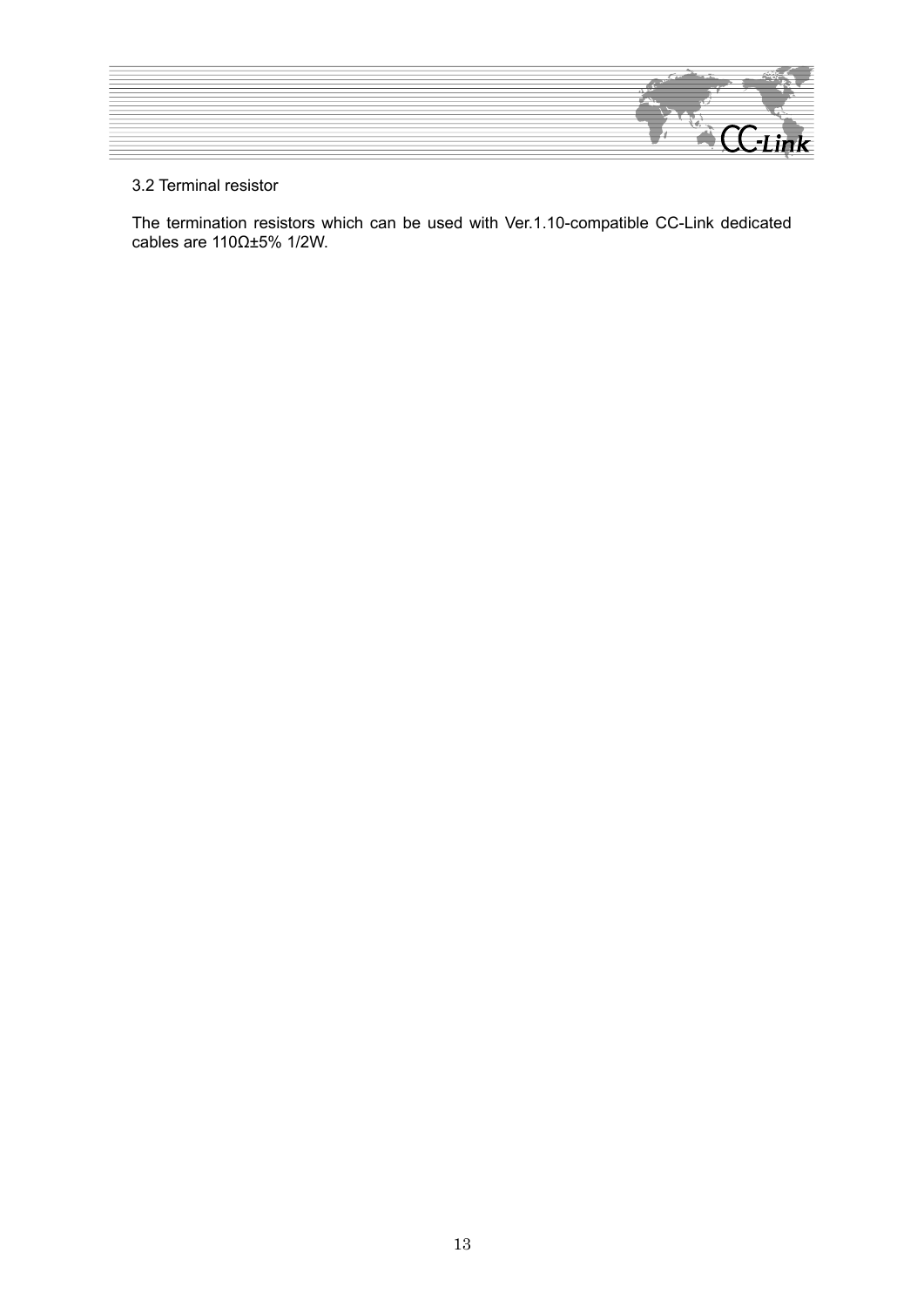| $\overline{\phantom{a}}$ |      |
|--------------------------|------|
| __                       |      |
|                          | -    |
|                          |      |
|                          |      |
|                          |      |
|                          |      |
|                          |      |
|                          |      |
|                          | u s  |
|                          |      |
| ╼                        |      |
| <b>MEA</b>               |      |
|                          |      |
| _                        |      |
|                          |      |
| _                        | . .  |
|                          |      |
|                          | 1 N  |
|                          | ---- |
|                          |      |
|                          |      |

#### 3.2 Terminal resistor

The termination resistors which can be used with Ver.1.10-compatible CC-Link dedicated cables are 110Ω±5% 1/2W.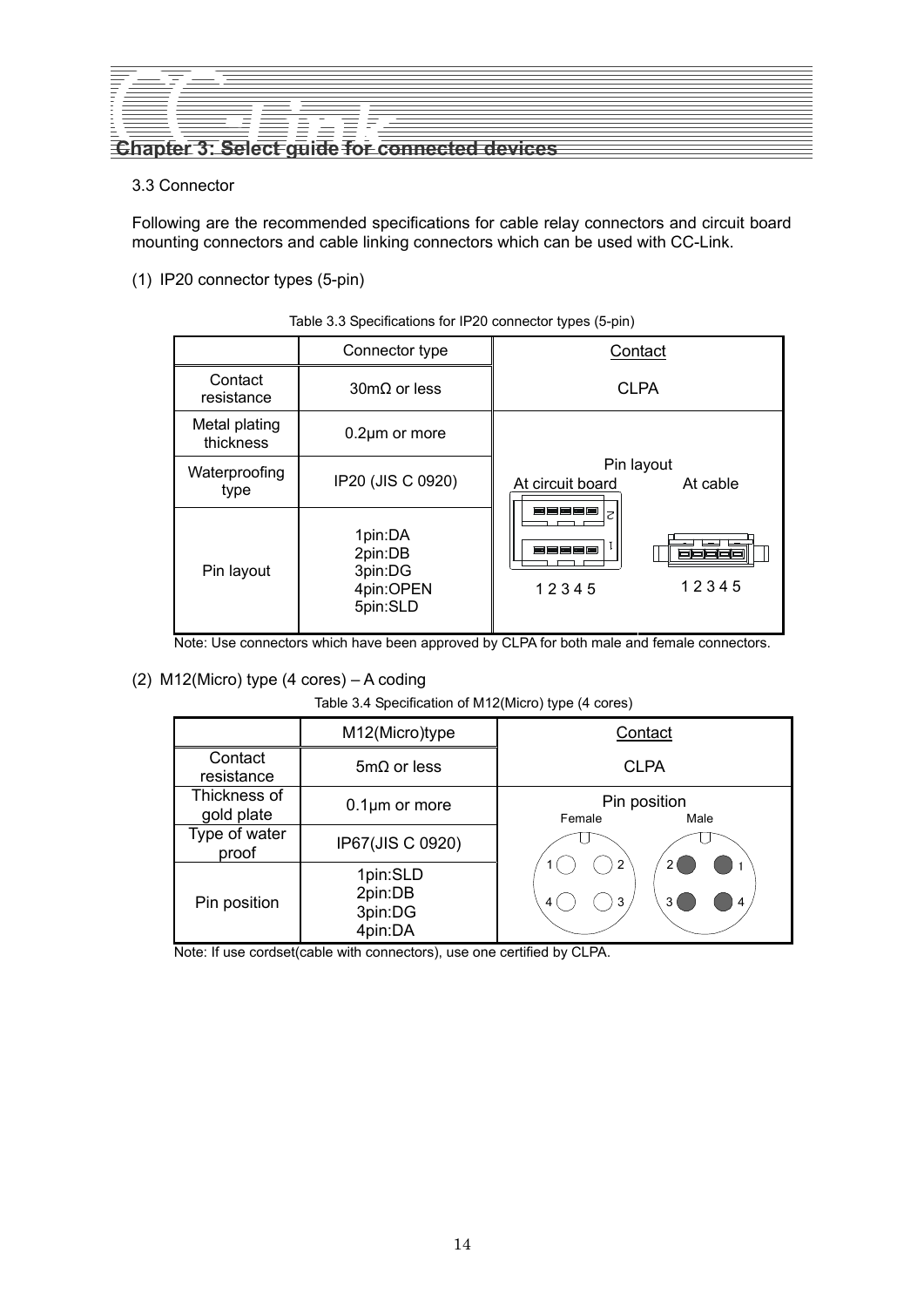

#### 3.3 Connector

Following are the recommended specifications for cable relay connectors and circuit board mounting connectors and cable linking connectors which can be used with CC-Link.

(1) IP20 connector types (5-pin)

| Table 0.0 Opedifications for if 20 confidence types to plit; |                                                        |                                           |          |  |  |  |
|--------------------------------------------------------------|--------------------------------------------------------|-------------------------------------------|----------|--|--|--|
|                                                              | Connector type                                         | Contact                                   |          |  |  |  |
| Contact<br>resistance                                        | $30 \text{m}\Omega$ or less                            | <b>CLPA</b>                               |          |  |  |  |
| Metal plating<br>thickness                                   | $0.2 \mu m$ or more                                    |                                           |          |  |  |  |
| Waterproofing<br>type                                        | IP20 (JIS C 0920)                                      | Pin layout<br>At circuit board            | At cable |  |  |  |
| Pin layout                                                   | 1pin:DA<br>2pin:DB<br>3pin:DG<br>4pin:OPEN<br>5pin:SLD | eeeee<br>$\overline{z}$<br>eense<br>12345 | 12345    |  |  |  |

Table 3.3 Specifications for IP20 connector types (5-pin)

Note: Use connectors which have been approved by CLPA for both male and female connectors.

#### (2) M12(Micro) type (4 cores) – A coding

Table 3.4 Specification of M12(Micro) type (4 cores)

|                            | M12(Micro)type                            | <b>Contact</b>                 |  |
|----------------------------|-------------------------------------------|--------------------------------|--|
| Contact<br>resistance      | $5m\Omega$ or less                        | <b>CLPA</b>                    |  |
| Thickness of<br>gold plate | $0.1 \mu m$ or more                       | Pin position<br>Female<br>Male |  |
| Type of water<br>proof     | IP67(JIS C 0920)                          |                                |  |
| Pin position               | 1pin:SLD<br>2pin:DB<br>3pin:DG<br>4pin:DA | 2<br>ر 2<br>3<br>3<br>4        |  |

Note: If use cordset(cable with connectors), use one certified by CLPA.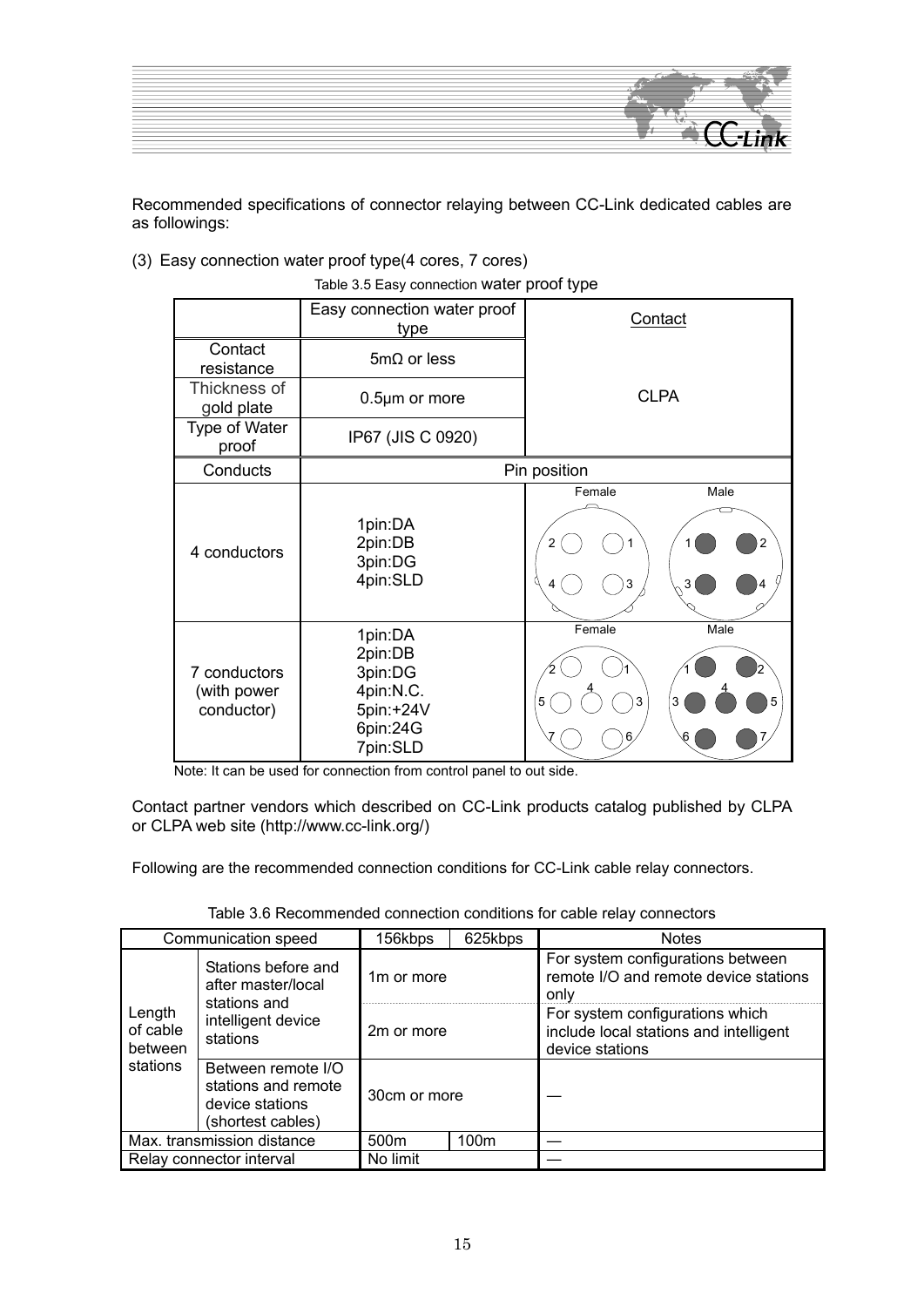

Recommended specifications of connector relaying between CC-Link dedicated cables are as followings:

(3) Easy connection water proof type(4 cores, 7 cores)

|  |  | Table 3.5 Easy connection water proof type |  |
|--|--|--------------------------------------------|--|
|  |  |                                            |  |

|                                           | Easy connection water proof<br>type                                  | <b>Contact</b>        |
|-------------------------------------------|----------------------------------------------------------------------|-----------------------|
| Contact<br>resistance                     | $5m\Omega$ or less                                                   |                       |
| Thickness of<br>gold plate                | $0.5 \mu m$ or more                                                  | <b>CLPA</b>           |
| <b>Type of Water</b><br>proof             | IP67 (JIS C 0920)                                                    |                       |
| Conducts                                  |                                                                      | Pin position          |
|                                           |                                                                      | Female<br>Male        |
| 4 conductors                              | 1pin:DA<br>2pin:DB<br>3pin:DG<br>4pin:SLD                            | 2<br>2<br>3<br>3<br>4 |
|                                           | 1pin:DA                                                              | Female<br>Male        |
| 7 conductors<br>(with power<br>conductor) | 2pin:DB<br>3pin:DG<br>4pin:N.C.<br>5pin:+24V<br>6pin:24G<br>7pin:SLD | 5<br>3<br>3<br>5      |

Note: It can be used for connection from control panel to out side.

Contact partner vendors which described on CC-Link products catalog published by CLPA or CLPA web site (http://www.cc-link.org/)

Following are the recommended connection conditions for CC-Link cable relay connectors.

| Communication speed                                             |                                                                                   | 156kbps                | 625kbps          | <b>Notes</b>                                                                                 |
|-----------------------------------------------------------------|-----------------------------------------------------------------------------------|------------------------|------------------|----------------------------------------------------------------------------------------------|
|                                                                 | Stations before and<br>after master/local<br>stations and                         | 1 <sub>m</sub> or more |                  | For system configurations between<br>remote I/O and remote device stations<br>only           |
| Length<br>intelligent device<br>of cable<br>stations<br>between |                                                                                   | 2m or more             |                  | For system configurations which<br>include local stations and intelligent<br>device stations |
| stations                                                        | Between remote I/O<br>stations and remote<br>device stations<br>(shortest cables) | 30cm or more           |                  |                                                                                              |
| Max. transmission distance                                      |                                                                                   | 500 <sub>m</sub>       | 100 <sub>m</sub> |                                                                                              |
| Relay connector interval                                        |                                                                                   | No limit               |                  |                                                                                              |

Table 3.6 Recommended connection conditions for cable relay connectors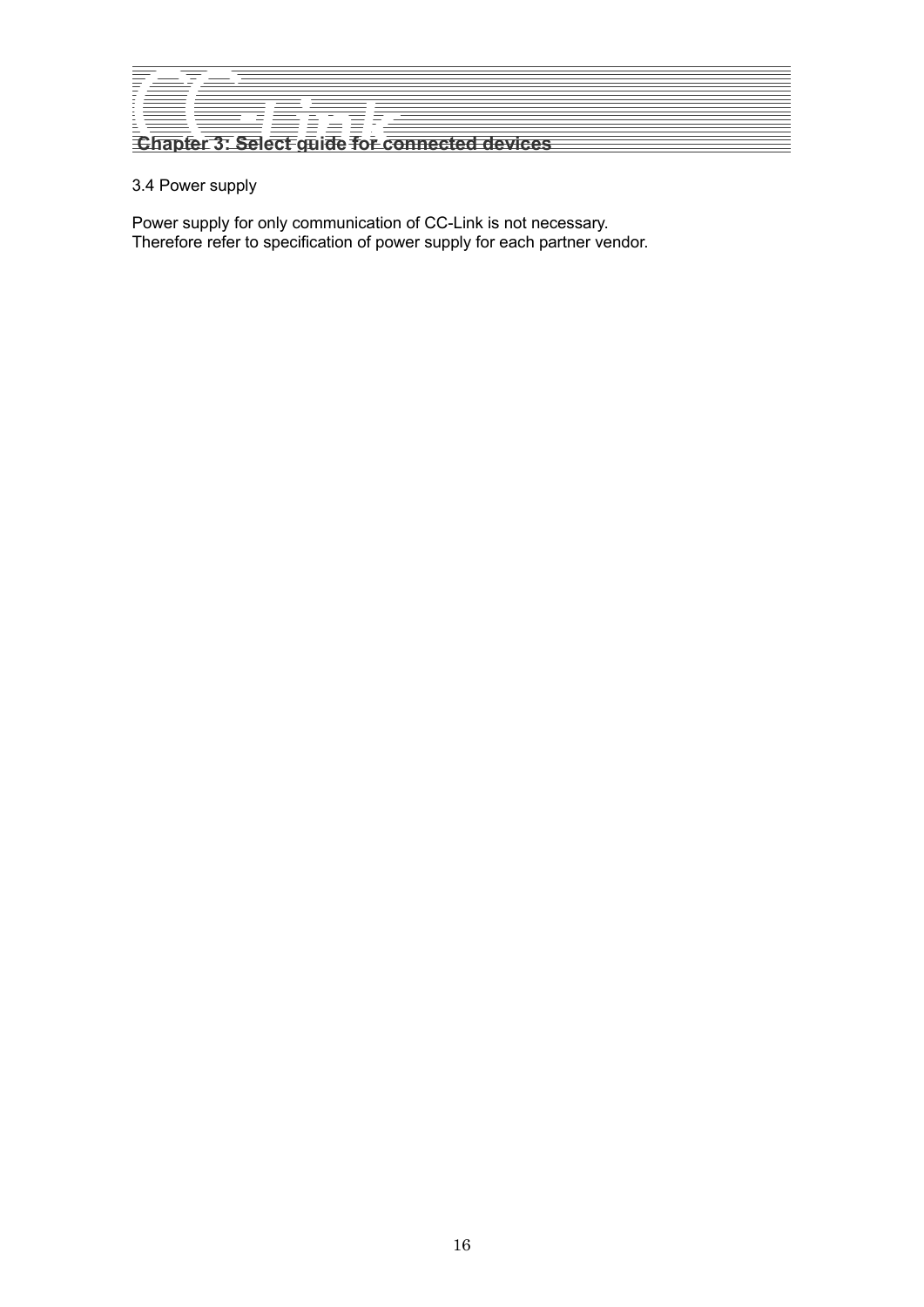

#### 3.4 Power supply

Power supply for only communication of CC-Link is not necessary. Therefore refer to specification of power supply for each partner vendor.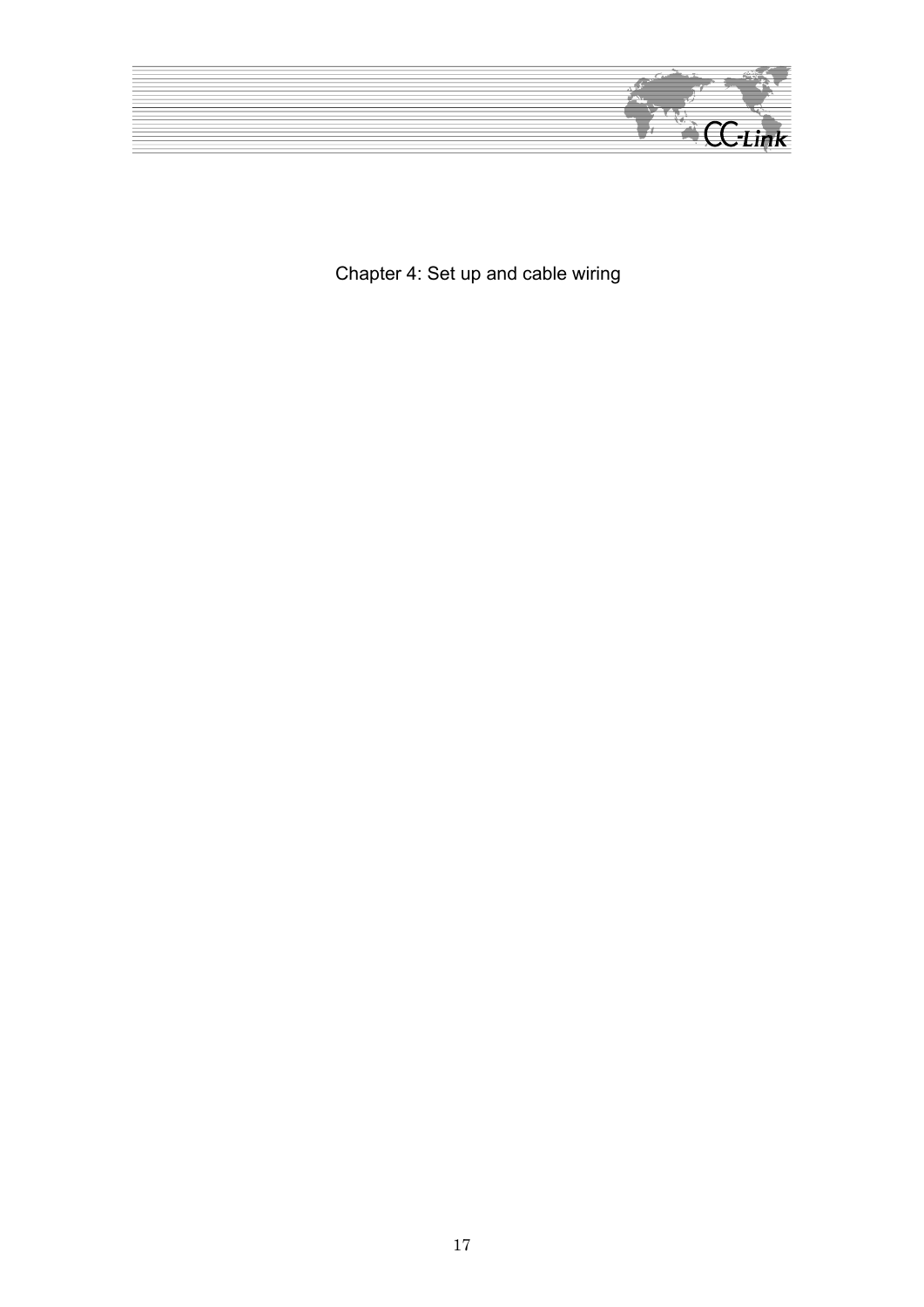

Chapter 4: Set up and cable wiring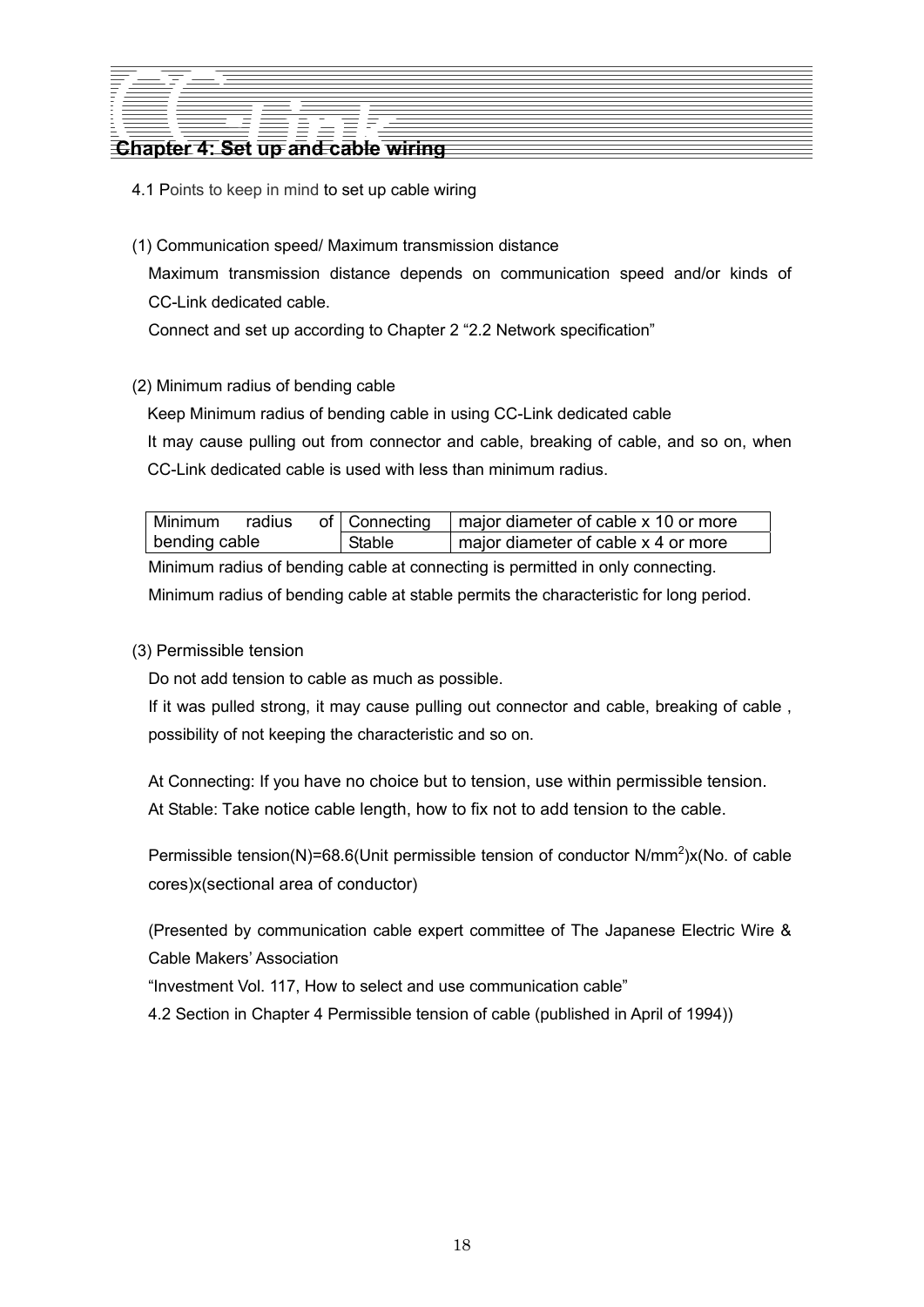

- 4.1 Points to keep in mind to set up cable wiring
- (1) Communication speed/ Maximum transmission distance

Maximum transmission distance depends on communication speed and/or kinds of CC-Link dedicated cable.

Connect and set up according to Chapter 2 "2.2 Network specification"

#### (2) Minimum radius of bending cable

Keep Minimum radius of bending cable in using CC-Link dedicated cable

It may cause pulling out from connector and cable, breaking of cable, and so on, when CC-Link dedicated cable is used with less than minimum radius.

| Minimum       | radius | of Connecting | major diameter of cable x 10 or more  |
|---------------|--------|---------------|---------------------------------------|
| bending cable |        | Stable        | I major diameter of cable x 4 or more |

Minimum radius of bending cable at connecting is permitted in only connecting.

Minimum radius of bending cable at stable permits the characteristic for long period.

#### (3) Permissible tension

Do not add tension to cable as much as possible.

If it was pulled strong, it may cause pulling out connector and cable, breaking of cable , possibility of not keeping the characteristic and so on.

At Connecting: If you have no choice but to tension, use within permissible tension. At Stable: Take notice cable length, how to fix not to add tension to the cable.

Permissible tension(N)=68.6(Unit permissible tension of conductor  $N/mm^2$ )x(No. of cable cores)x(sectional area of conductor)

(Presented by communication cable expert committee of The Japanese Electric Wire & Cable Makers' Association

"Investment Vol. 117, How to select and use communication cable"

4.2 Section in Chapter 4 Permissible tension of cable (published in April of 1994))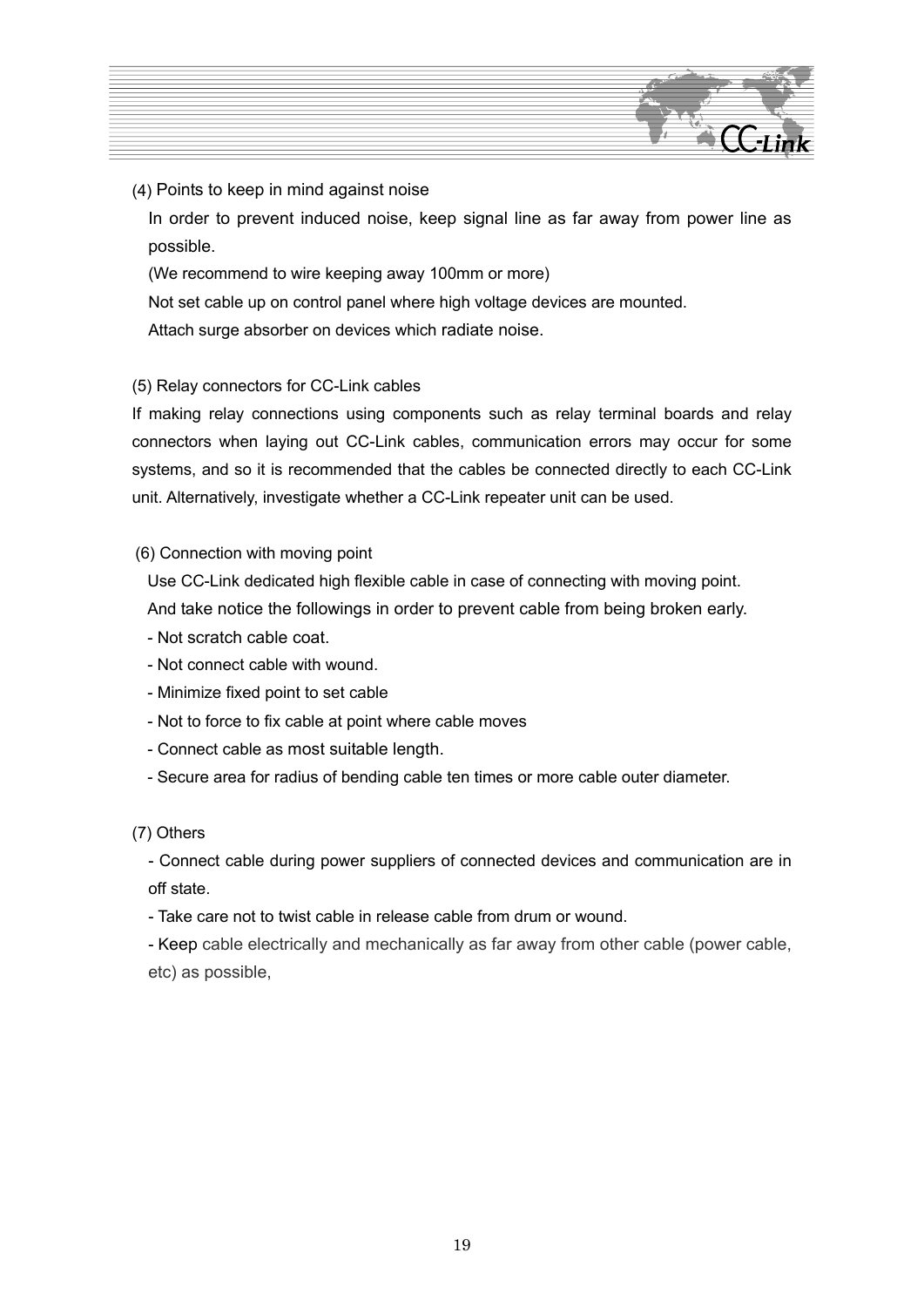#### (4) Points to keep in mind against noise

In order to prevent induced noise, keep signal line as far away from power line as possible.

(We recommend to wire keeping away 100mm or more)

Not set cable up on control panel where high voltage devices are mounted.

Attach surge absorber on devices which radiate noise.

#### (5) Relay connectors for CC-Link cables

If making relay connections using components such as relay terminal boards and relay connectors when laying out CC-Link cables, communication errors may occur for some systems, and so it is recommended that the cables be connected directly to each CC-Link unit. Alternatively, investigate whether a CC-Link repeater unit can be used.

#### (6) Connection with moving point

Use CC-Link dedicated high flexible cable in case of connecting with moving point.

And take notice the followings in order to prevent cable from being broken early.

- Not scratch cable coat.
- Not connect cable with wound.
- Minimize fixed point to set cable
- Not to force to fix cable at point where cable moves
- Connect cable as most suitable length.
- Secure area for radius of bending cable ten times or more cable outer diameter.

#### (7) Others

- Connect cable during power suppliers of connected devices and communication are in off state.

- Take care not to twist cable in release cable from drum or wound.

- Keep cable electrically and mechanically as far away from other cable (power cable, etc) as possible,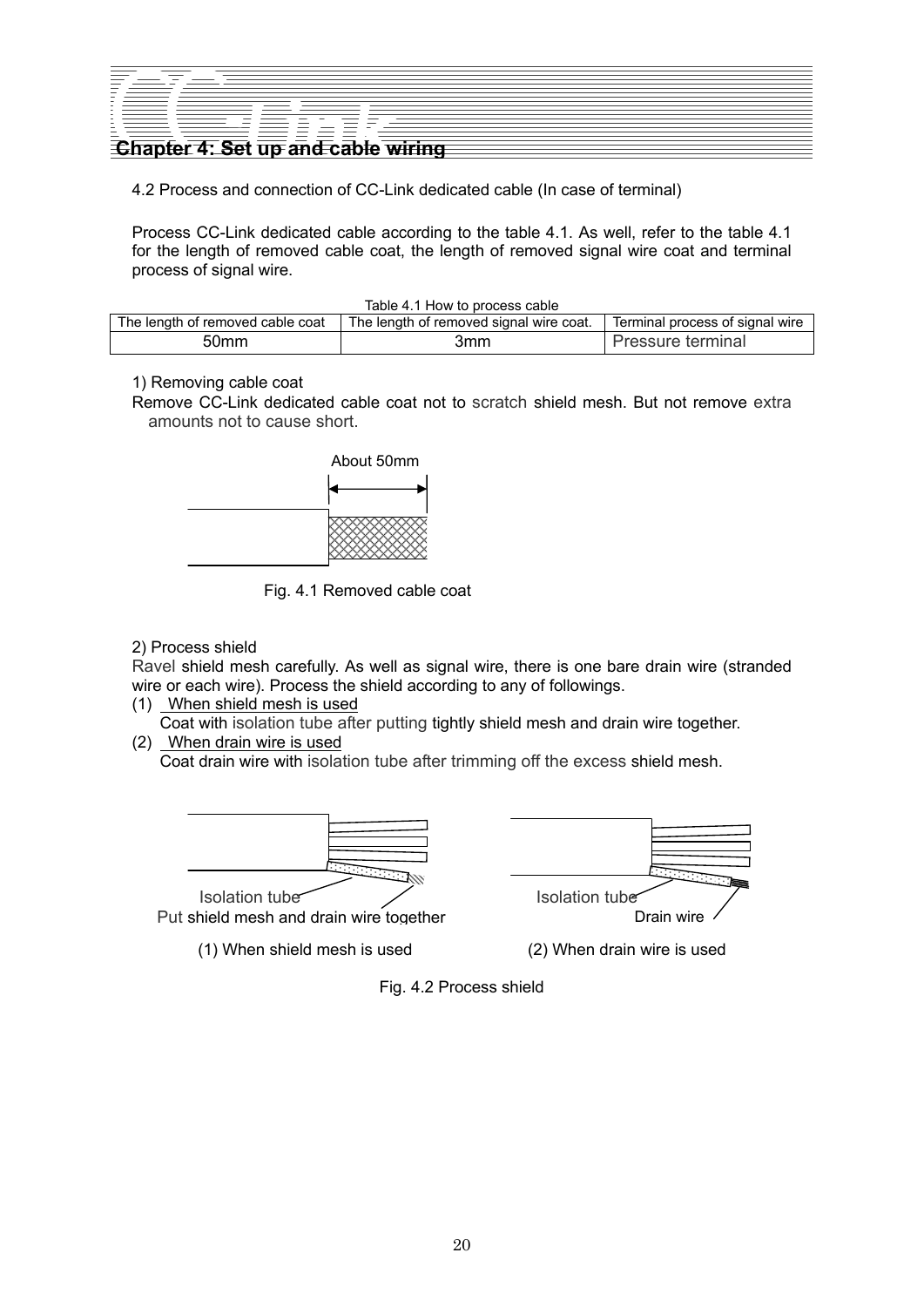

4.2 Process and connection of CC-Link dedicated cable (In case of terminal)

Process CC-Link dedicated cable according to the table 4.1. As well, refer to the table 4.1 for the length of removed cable coat, the length of removed signal wire coat and terminal process of signal wire.

#### Table 4.1 How to process cable

| he<br>length of removed cable coat • | The <sub>1</sub><br>. signal<br>of removed<br>' wire coat.<br>lenath | Terminal process of signal wire |
|--------------------------------------|----------------------------------------------------------------------|---------------------------------|
| 50 <sub>mm</sub>                     | 3mm                                                                  | terminal                        |

#### 1) Removing cable coat

Remove CC-Link dedicated cable coat not to scratch shield mesh. But not remove extra amounts not to cause short.



Fig. 4.1 Removed cable coat

#### 2) Process shield

Ravel shield mesh carefully. As well as signal wire, there is one bare drain wire (stranded wire or each wire). Process the shield according to any of followings.

#### (1) When shield mesh is used

Coat with isolation tube after putting tightly shield mesh and drain wire together. (2) When drain wire is used

Coat drain wire with isolation tube after trimming off the excess shield mesh.





Put shield mesh and drain wire together

(1) When shield mesh is used (2) When drain wire is used

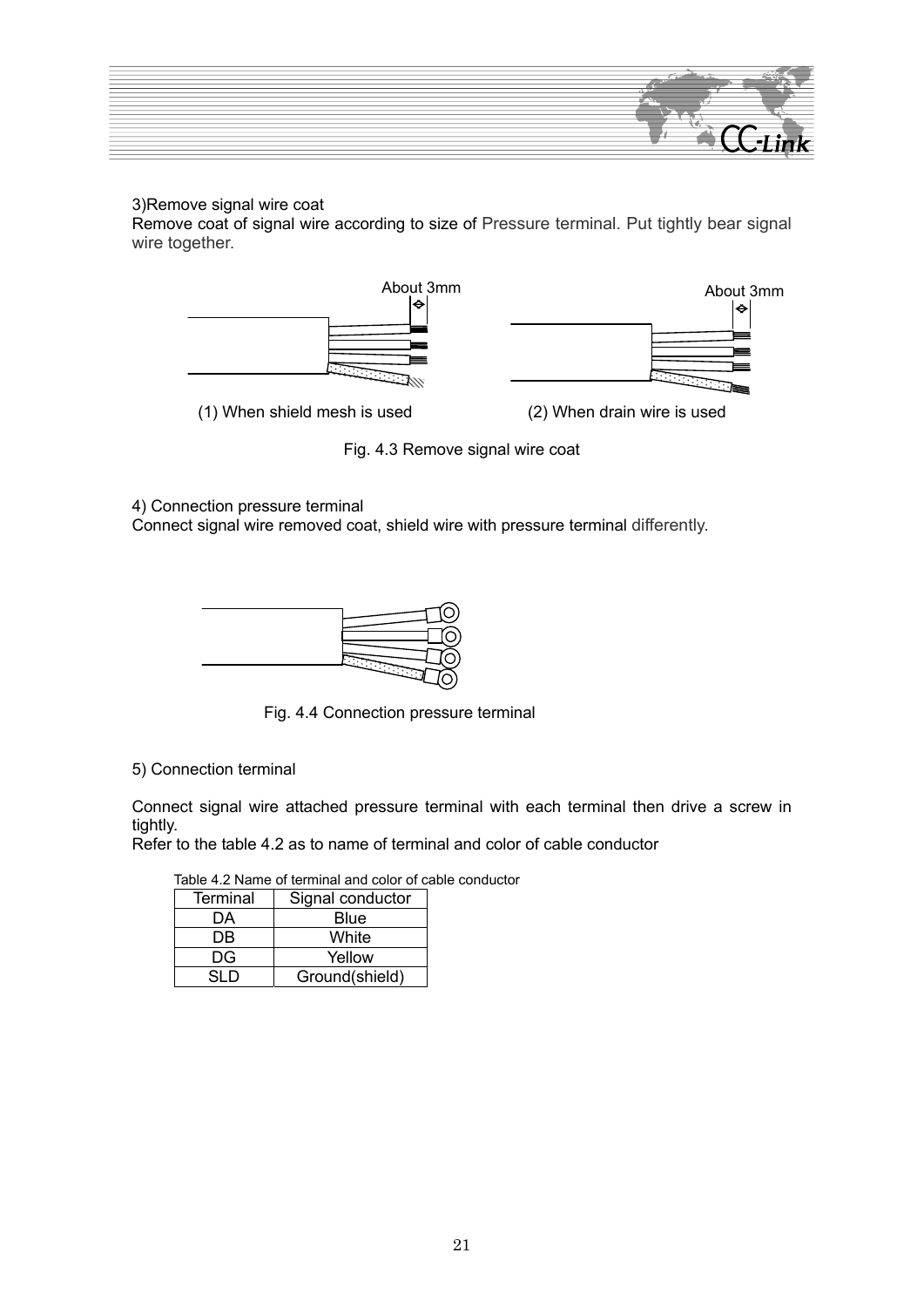

#### 3)Remove signal wire coat

Remove coat of signal wire according to size of Pressure terminal. Put tightly bear signal wire together.



Fig. 4.3 Remove signal wire coat

4) Connection pressure terminal

Connect signal wire removed coat, shield wire with pressure terminal differently.



Fig. 4.4 Connection pressure terminal

5) Connection terminal

Connect signal wire attached pressure terminal with each terminal then drive a screw in tightly.

Refer to the table 4.2 as to name of terminal and color of cable conductor

| Terminal | Signal conductor |  |  |
|----------|------------------|--|--|
| DА       | Blue             |  |  |
| DВ       | White            |  |  |
| DG       | Yellow           |  |  |
| SI D     | Ground(shield)   |  |  |

Table 4.2 Name of terminal and color of cable conductor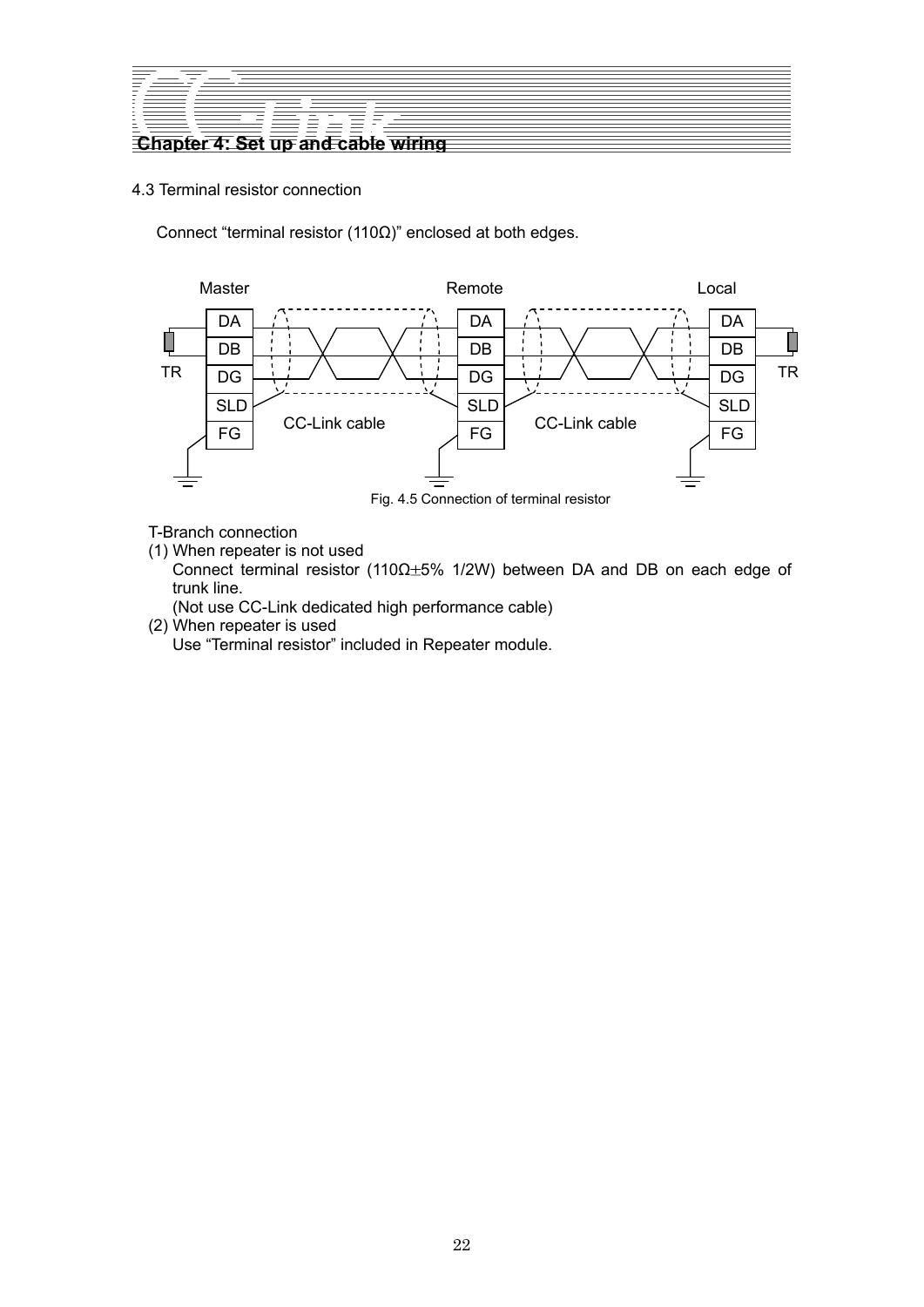

4.3 Terminal resistor connection

Connect "terminal resistor (110Ω)" enclosed at both edges.



Fig. 4.5 Connection of terminal resistor

T-Branch connection

(1) When repeater is not used

Connect terminal resistor (110 $\Omega$ ±5% 1/2W) between DA and DB on each edge of trunk line.

(Not use CC-Link dedicated high performance cable)

(2) When repeater is used Use "Terminal resistor" included in Repeater module.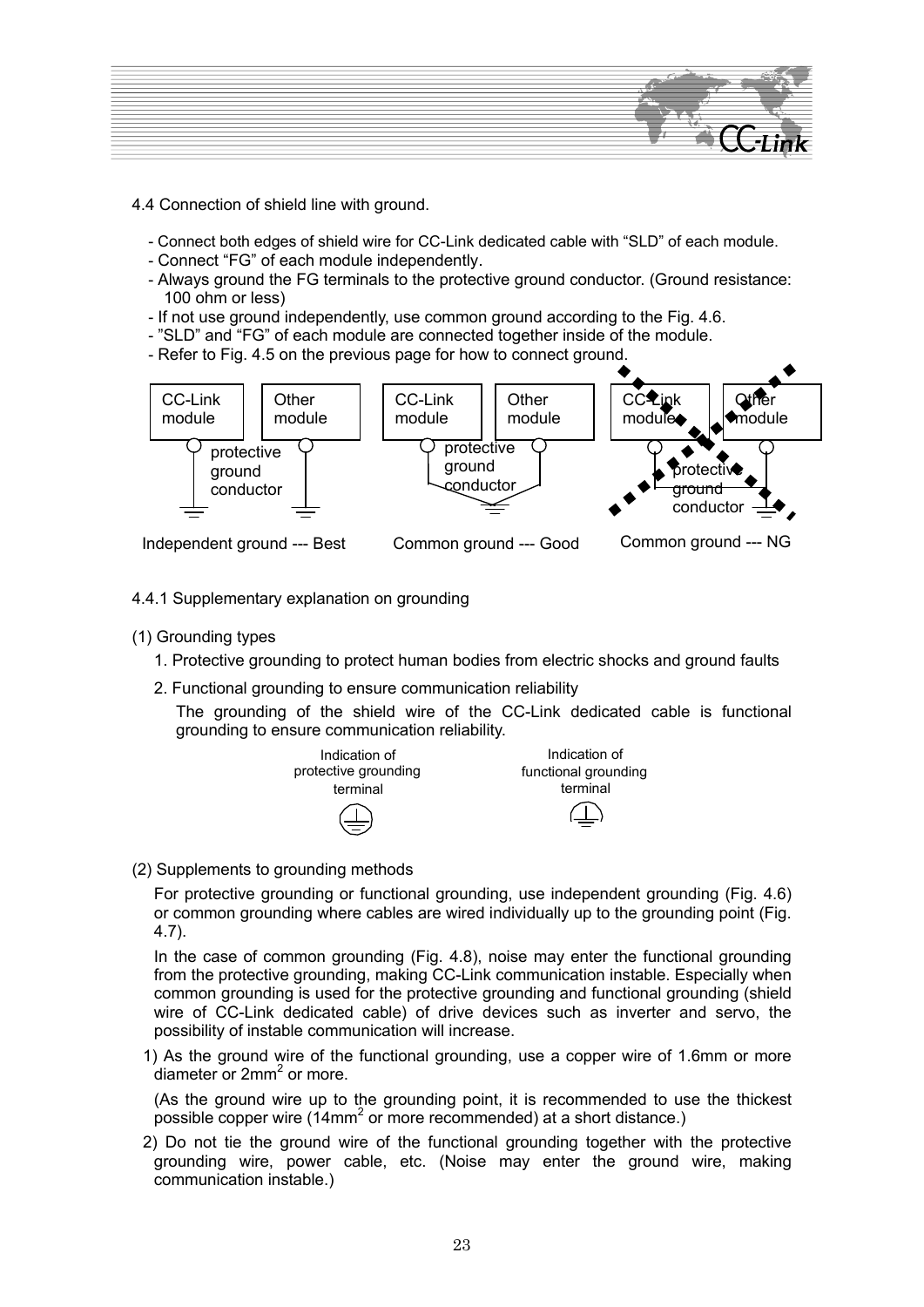|        | and the second |
|--------|----------------|
|        | ---            |
|        |                |
|        |                |
|        |                |
| <br>-- |                |
| ≂<br>. |                |
|        |                |
| ч      | - 4            |
|        |                |
| --     |                |
|        |                |
| --     |                |
|        |                |
|        |                |
| -      |                |
|        | A              |
|        | --             |
|        |                |
|        |                |

- 4.4 Connection of shield line with ground.
	- Connect both edges of shield wire for CC-Link dedicated cable with "SLD" of each module.
	- Connect "FG" of each module independently.
	- Always ground the FG terminals to the protective ground conductor. (Ground resistance: 100 ohm or less)
	- If not use ground independently, use common ground according to the Fig. 4.6.
	- "SLD" and "FG" of each module are connected together inside of the module.
	- Refer to Fig. 4.5 on the previous page for how to connect ground.



- 4.4.1 Supplementary explanation on grounding
- (1) Grounding types
	- 1. Protective grounding to protect human bodies from electric shocks and ground faults
	- 2. Functional grounding to ensure communication reliability

The grounding of the shield wire of the CC-Link dedicated cable is functional grounding to ensure communication reliability.



(2) Supplements to grounding methods

For protective grounding or functional grounding, use independent grounding (Fig. 4.6) or common grounding where cables are wired individually up to the grounding point (Fig. 4.7).

In the case of common grounding (Fig. 4.8), noise may enter the functional grounding from the protective grounding, making CC-Link communication instable. Especially when common grounding is used for the protective grounding and functional grounding (shield wire of CC-Link dedicated cable) of drive devices such as inverter and servo, the possibility of instable communication will increase.

1) As the ground wire of the functional grounding, use a copper wire of 1.6mm or more diameter or  $2mm^2$  or more.

(As the ground wire up to the grounding point, it is recommended to use the thickest possible copper wire  $(14\text{mm}^2 \text{ or more recommended})$  at a short distance.)

2) Do not tie the ground wire of the functional grounding together with the protective grounding wire, power cable, etc. (Noise may enter the ground wire, making communication instable.)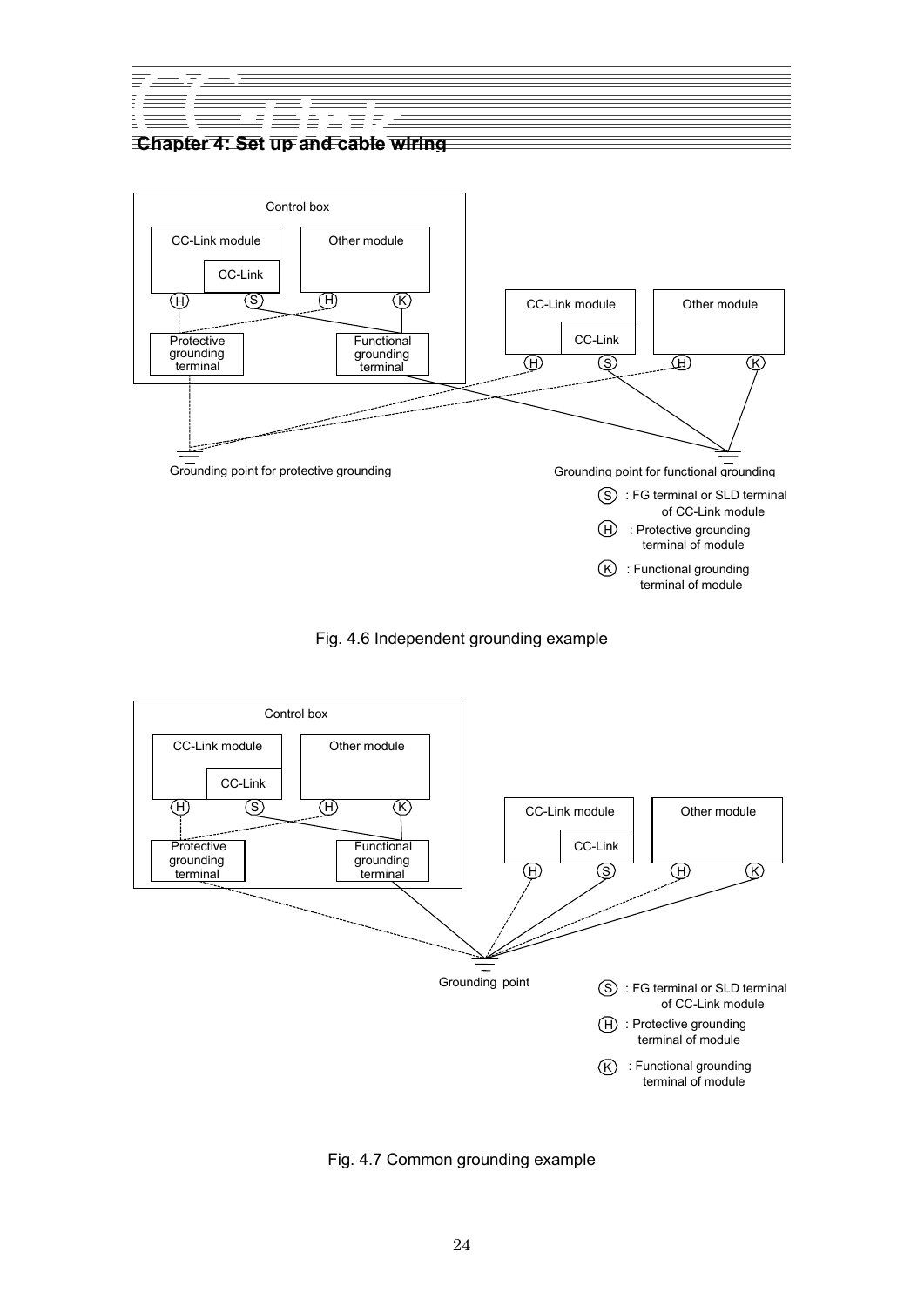







Fig. 4.7 Common grounding example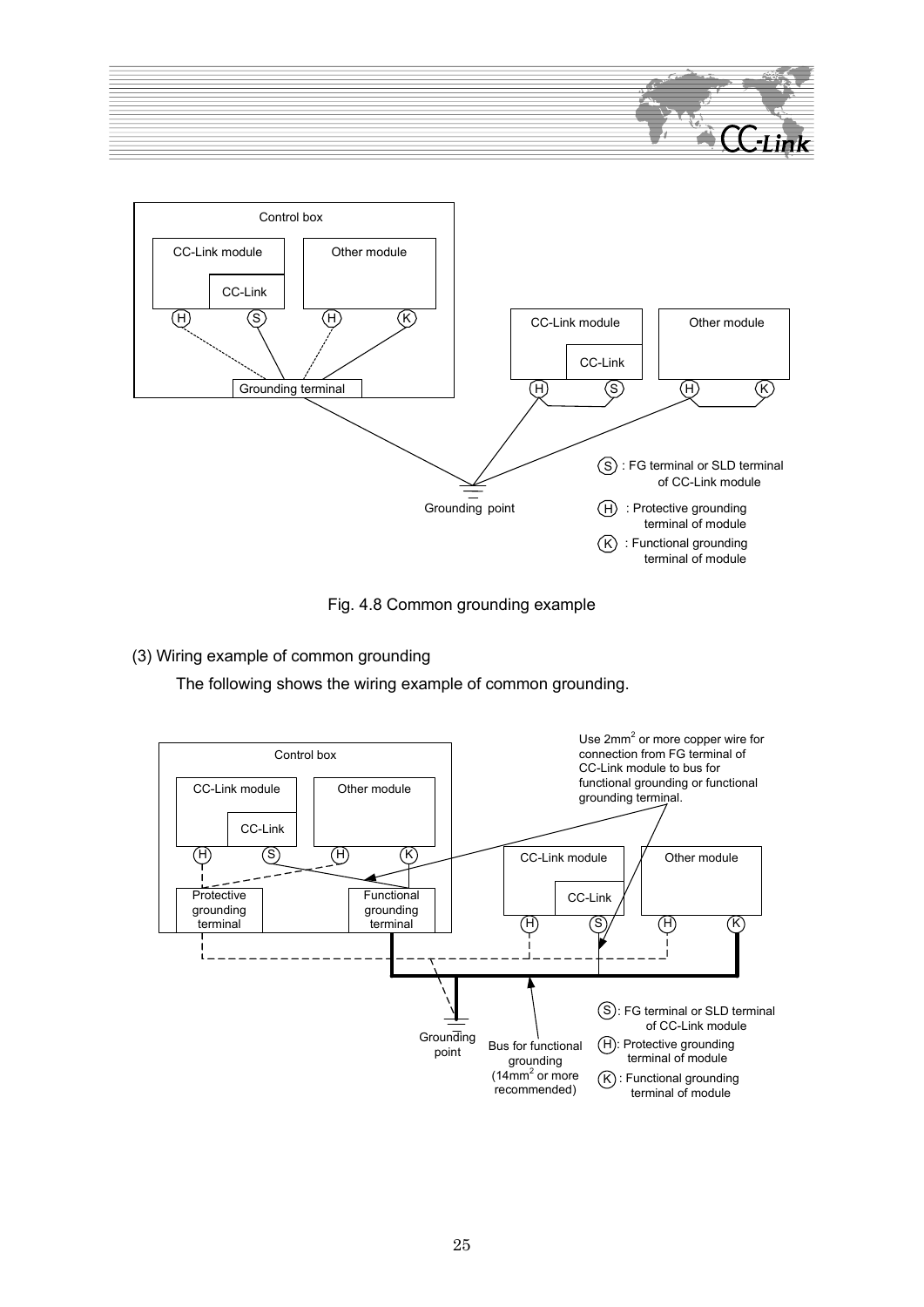

Fig. 4.8 Common grounding example

(3) Wiring example of common grounding

The following shows the wiring example of common grounding.

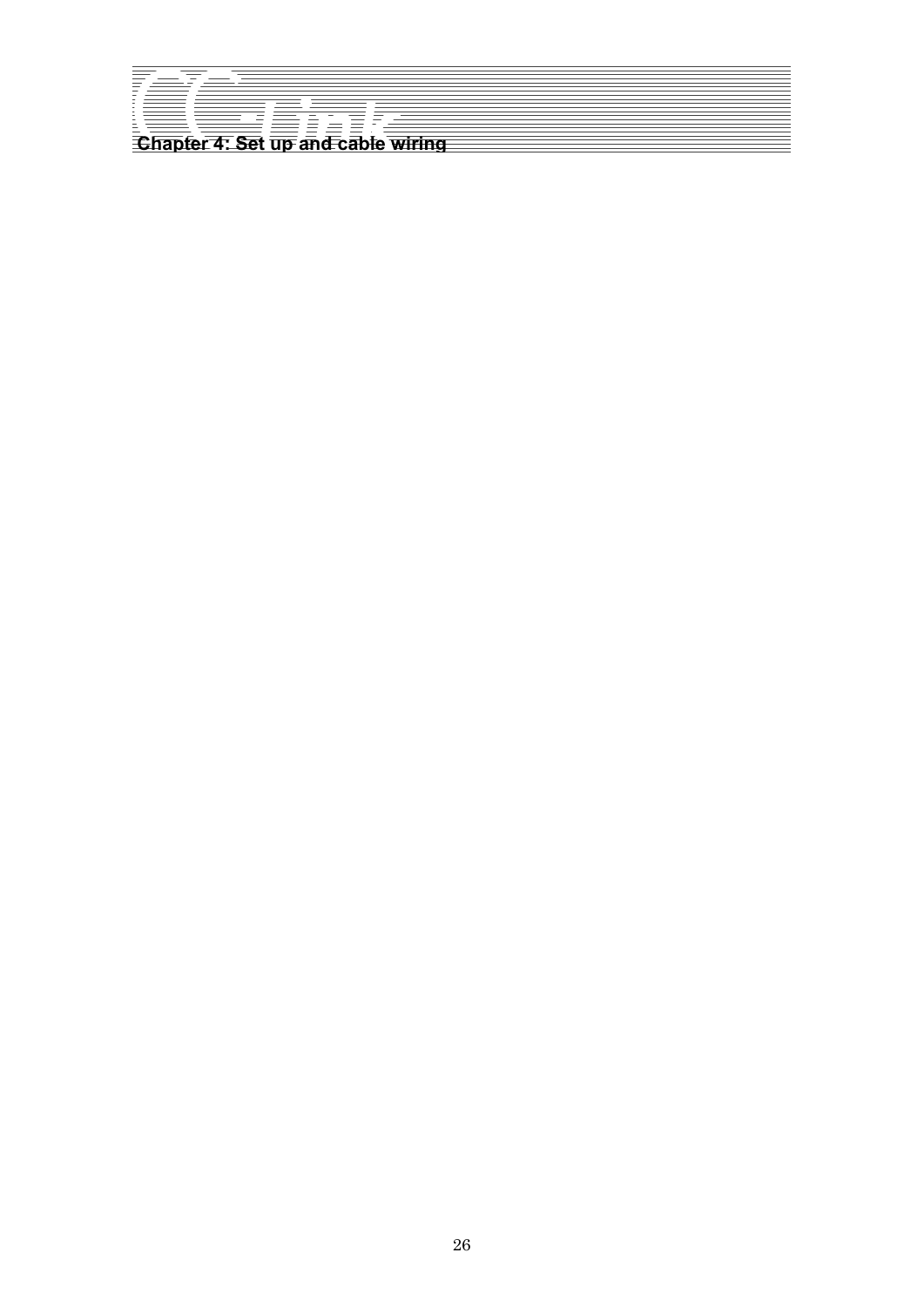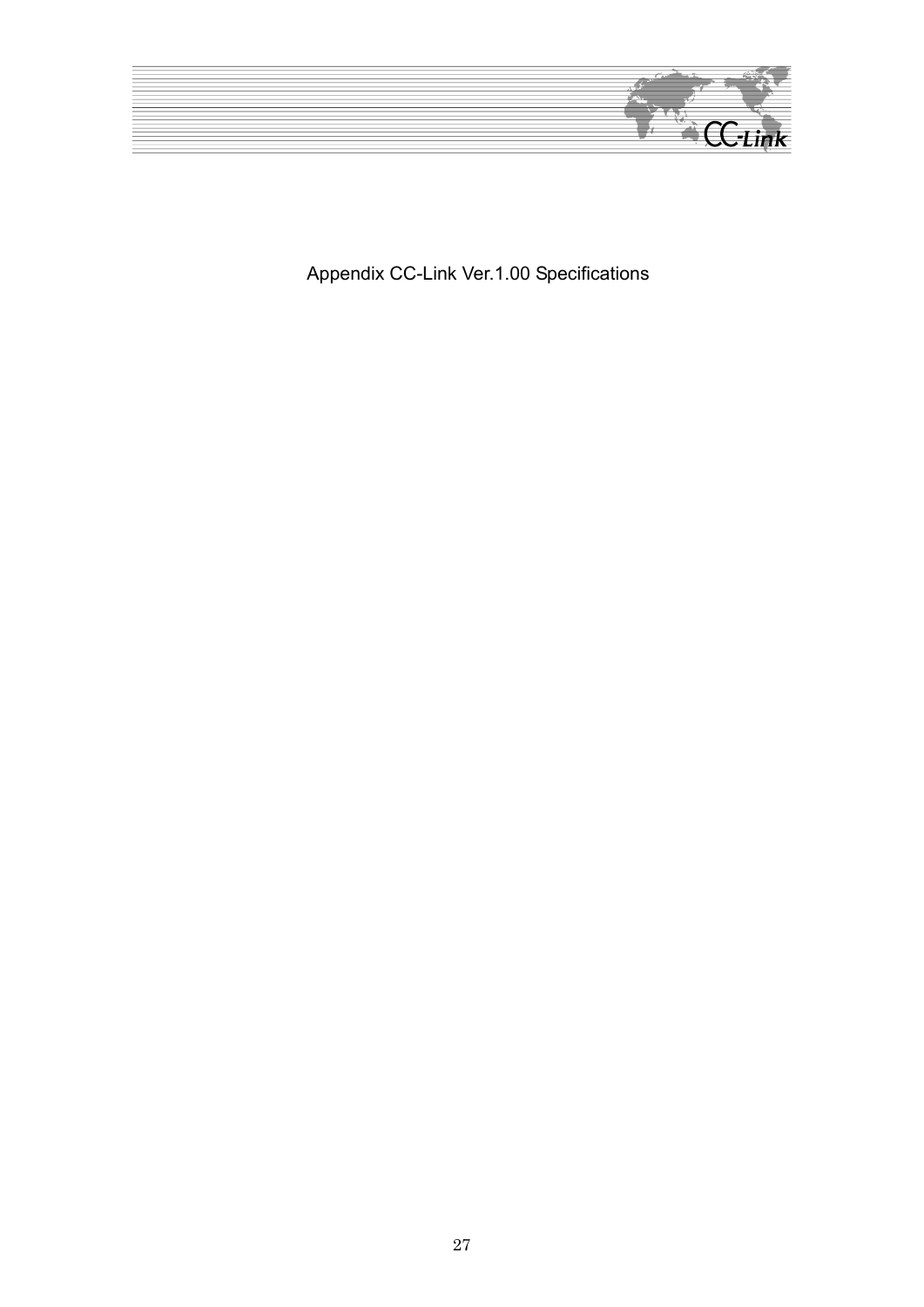

Appendix CC-Link Ver.1.00 Specifications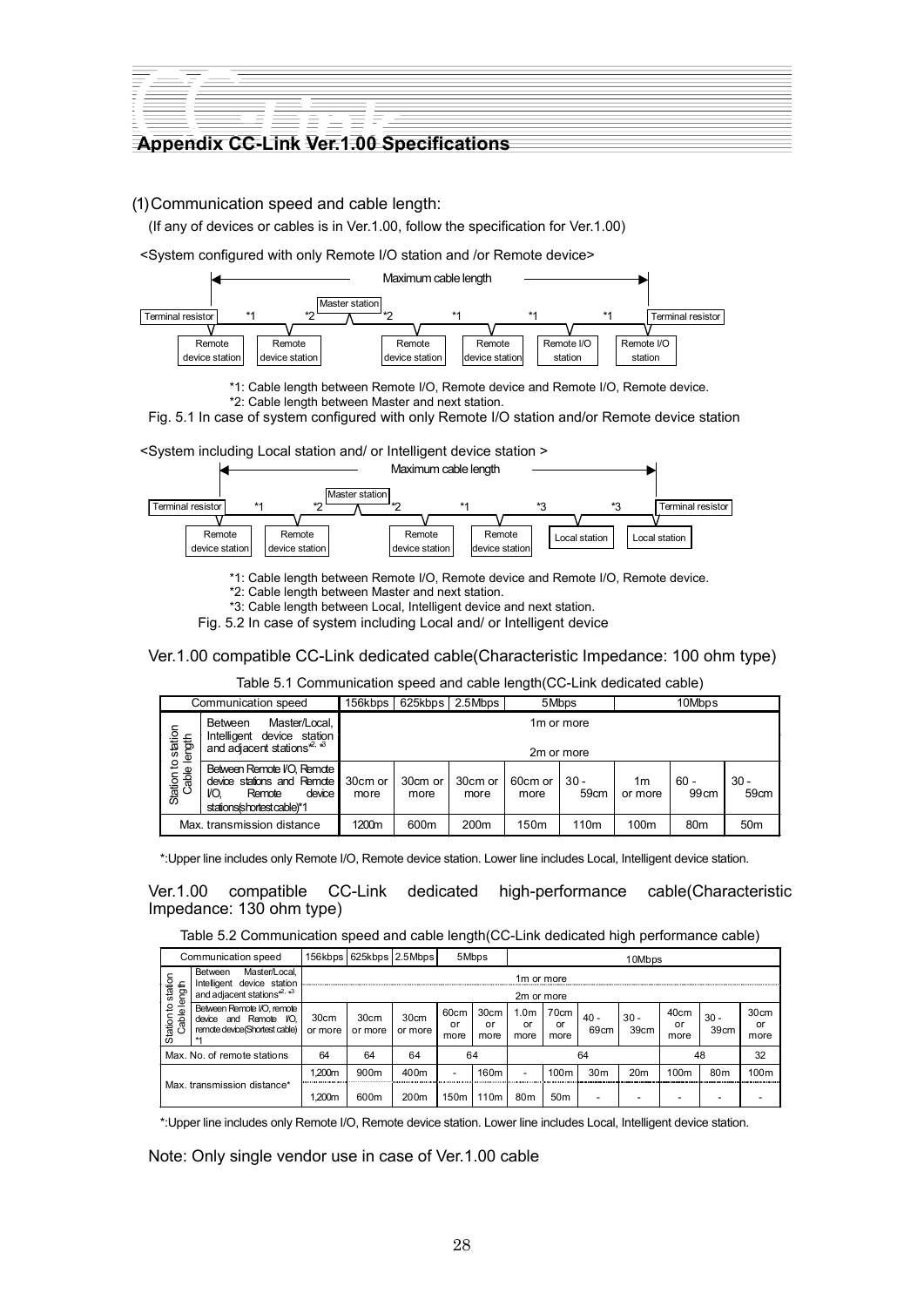

#### (1) Communication speed and cable length:

(If any of devices or cables is in Ver.1.00, follow the specification for Ver.1.00)

<System configured with only Remote I/O station and /or Remote device>



\*1: Cable length between Remote I/O, Remote device and Remote I/O, Remote device.

\*2: Cable length between Master and next station.

Fig. 5.1 In case of system configured with only Remote I/O station and/or Remote device station

<System including Local station and/ or Intelligent device station >



\*1: Cable length between Remote I/O, Remote device and Remote I/O, Remote device.

- \*2: Cable length between Master and next station.
- \*3: Cable length between Local, Intelligent device and next station.

Fig. 5.2 In case of system including Local and/ or Intelligent device

Ver.1.00 compatible CC-Link dedicated cable(Characteristic Impedance: 100 ohm type)

Table 5.1 Communication speed and cable length(CC-Link dedicated cable)

| Communication speed                |                                                                                                                    | 156kbps                              |                 | 625kbps 2.5Mbps | 5Mbps           |                |               | 10Mbps          |                 |  |
|------------------------------------|--------------------------------------------------------------------------------------------------------------------|--------------------------------------|-----------------|-----------------|-----------------|----------------|---------------|-----------------|-----------------|--|
|                                    | Master/Local,<br><b>Between</b><br>Intelligent device station<br>and adjacent stations $*^{3}$                     | 1 <sub>m</sub> or more<br>2m or more |                 |                 |                 |                |               |                 |                 |  |
| Station to station<br>Cable length | Between Remote VO, Remote<br>device stations and Remote<br>VO.<br>device I<br>Remote<br>stations(shortest cable)*1 | 30cm or<br>more                      | 30cm or<br>more | 30cm or<br>more | 60cm or<br>more | $30 -$<br>59cm | 1m<br>or more | $60 -$<br>99cm  | $30 -$<br>59cm  |  |
| Max. transmission distance         |                                                                                                                    | 1200m                                | 600m            | 200m            | 150m            | 110m           | 100m          | 80 <sub>m</sub> | 50 <sub>m</sub> |  |

\*:Upper line includes only Remote I/O, Remote device station. Lower line includes Local, Intelligent device station.

Ver.1.00 compatible CC-Link dedicated high-performance cable(Characteristic Impedance: 130 ohm type)

Table 5.2 Communication speed and cable length(CC-Link dedicated high performance cable)

|                       | Communication speed                                                                              |                                      | 156kbps 625kbps 2.5Mbps |                 |                    | 5Mbps              | 10Mbps                         |                         |                 |                |                    |                 |                    |
|-----------------------|--------------------------------------------------------------------------------------------------|--------------------------------------|-------------------------|-----------------|--------------------|--------------------|--------------------------------|-------------------------|-----------------|----------------|--------------------|-----------------|--------------------|
| to station<br>कु<br>চ | Between<br>Master/Local.<br>Intelligent device station<br>and adjacent stations <sup>*2,*3</sup> | 1 <sub>m</sub> or more<br>2m or more |                         |                 |                    |                    |                                |                         |                 |                |                    |                 |                    |
| able<br>Station       | Between Remote I/O, remote<br>device and Remote VO.<br>remote device(Shortest cable)<br>*4       | 30cm<br>or more                      | 30cm<br>or more         | 30cm<br>or more | 60cm<br>or<br>more | 30cm<br>or<br>more | 1.0 <sub>m</sub><br>or<br>more | 70cm<br>or<br>more      | $40 -$<br>69cm  | $30 -$<br>39cm | 40cm<br>or<br>more | $30 -$<br>39cm  | 30cm<br>or<br>more |
|                       | Max. No. of remote stations                                                                      | 64                                   | 64                      | 64              | 64                 |                    | 64                             |                         |                 |                | 48                 |                 | 32                 |
|                       | Max. transmission distance*                                                                      | 1.200m<br><br>1.200m                 | 900m<br>600m            | 400m<br>200m    | 150m               | 160m<br>10m        | 80 <sub>m</sub>                | 100m<br>50 <sub>m</sub> | 30 <sub>m</sub> | 20m            | 100m               | 80 <sub>m</sub> | 100m               |

\*:Upper line includes only Remote I/O, Remote device station. Lower line includes Local, Intelligent device station.

Note: Only single vendor use in case of Ver.1.00 cable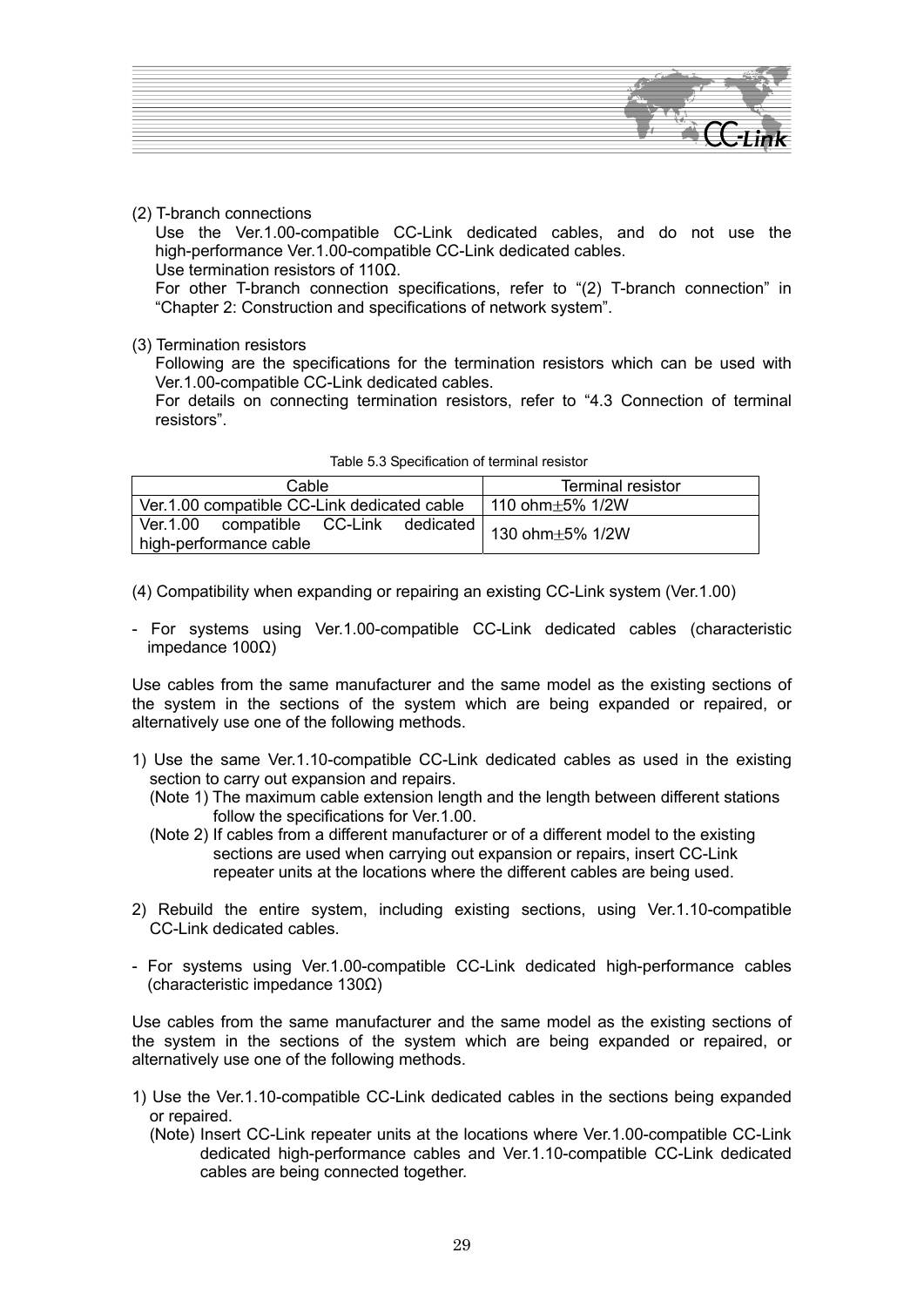

(2) T-branch connections

Use the Ver.1.00-compatible CC-Link dedicated cables, and do not use the high-performance Ver.1.00-compatible CC-Link dedicated cables.

Use termination resistors of 110Ω.

For other T-branch connection specifications, refer to "(2) T-branch connection" in "Chapter 2: Construction and specifications of network system".

(3) Termination resistors

Following are the specifications for the termination resistors which can be used with Ver.1.00-compatible CC-Link dedicated cables.

For details on connecting termination resistors, refer to "4.3 Connection of terminal resistors".

| Cable                                                           | <b>Terminal resistor</b> |  |  |  |  |
|-----------------------------------------------------------------|--------------------------|--|--|--|--|
| Ver.1.00 compatible CC-Link dedicated cable                     | 110 ohm $\pm$ 5% 1/2W    |  |  |  |  |
| Ver.1.00 compatible CC-Link dedicated<br>high-performance cable | 130 ohm±5% 1/2W          |  |  |  |  |

(4) Compatibility when expanding or repairing an existing CC-Link system (Ver.1.00)

- For systems using Ver.1.00-compatible CC-Link dedicated cables (characteristic impedance 100Ω)

Use cables from the same manufacturer and the same model as the existing sections of the system in the sections of the system which are being expanded or repaired, or alternatively use one of the following methods.

- 1) Use the same Ver.1.10-compatible CC-Link dedicated cables as used in the existing section to carry out expansion and repairs.
	- (Note 1) The maximum cable extension length and the length between different stations follow the specifications for Ver.1.00.
	- (Note 2) If cables from a different manufacturer or of a different model to the existing sections are used when carrying out expansion or repairs, insert CC-Link repeater units at the locations where the different cables are being used.
- 2) Rebuild the entire system, including existing sections, using Ver.1.10-compatible CC-Link dedicated cables.
- For systems using Ver.1.00-compatible CC-Link dedicated high-performance cables (characteristic impedance 130Ω)

Use cables from the same manufacturer and the same model as the existing sections of the system in the sections of the system which are being expanded or repaired, or alternatively use one of the following methods.

- 1) Use the Ver.1.10-compatible CC-Link dedicated cables in the sections being expanded or repaired.
	- (Note) Insert CC-Link repeater units at the locations where Ver.1.00-compatible CC-Link dedicated high-performance cables and Ver.1.10-compatible CC-Link dedicated cables are being connected together.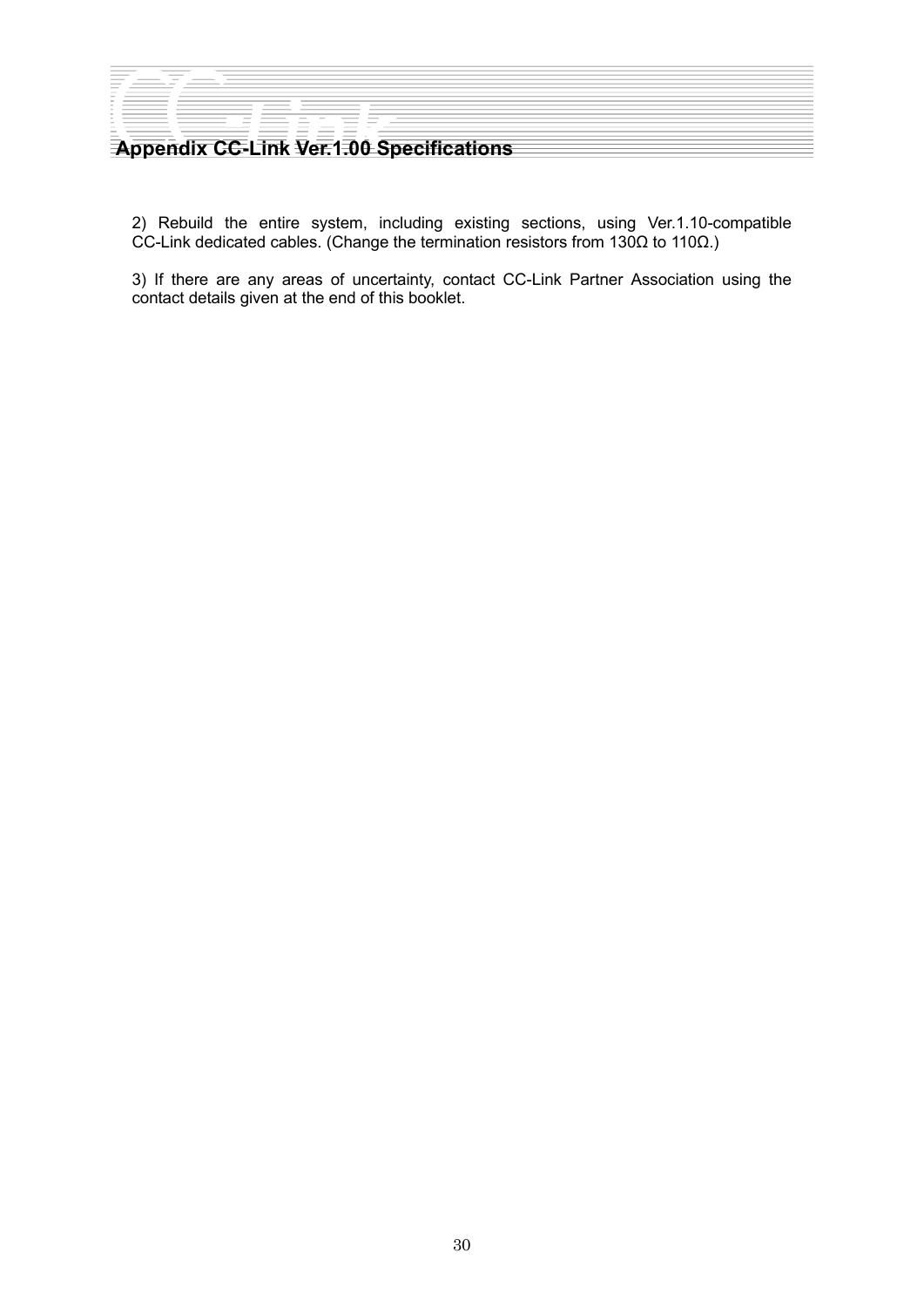

2) Rebuild the entire system, including existing sections, using Ver.1.10-compatible CC-Link dedicated cables. (Change the termination resistors from 130Ω to 110Ω.)

3) If there are any areas of uncertainty, contact CC-Link Partner Association using the contact details given at the end of this booklet.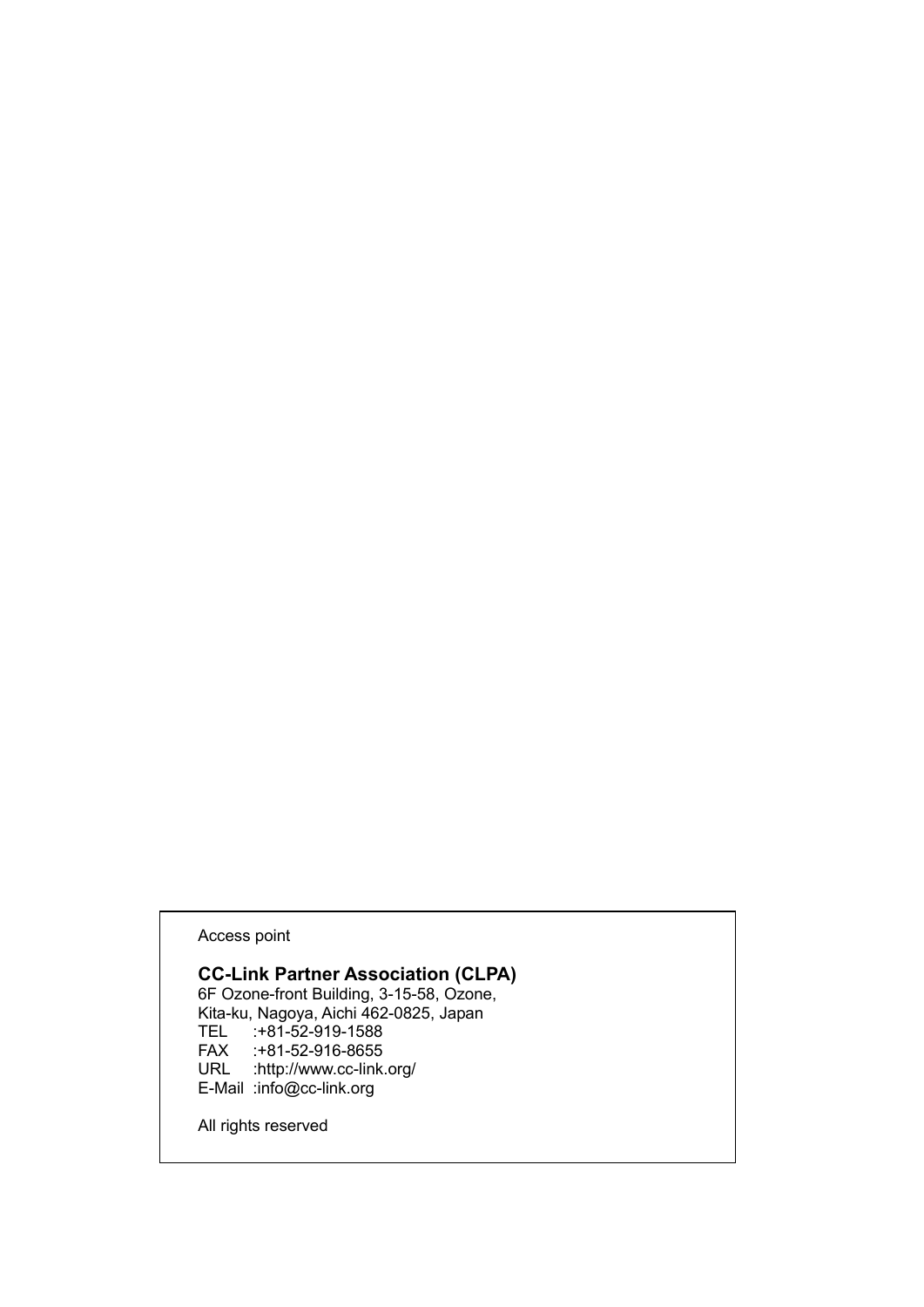Access point

#### **CC-Link Partner Association (CLPA)**

6F Ozone-front Building, 3-15-58, Ozone, Kita-ku, Nagoya, Aichi 462-0825, Japan TEL :+81-52-919-1588 FAX :+81-52-916-8655<br>URL :http://www.cc-link. :http://www.cc-link.org/ E-Mail :info@cc-link.org

All rights reserved